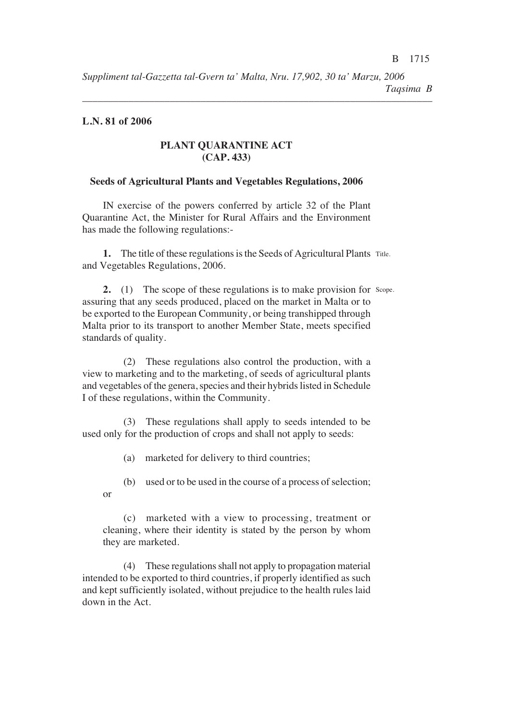*––––––––––––––––––––––––––––––––––––––––––––––––––––––––––––––––––––*

### **L.N. 81 of 2006**

### **PLANT QUARANTINE ACT (CAP. 433)**

### **Seeds of Agricultural Plants and Vegetables Regulations, 2006**

IN exercise of the powers conferred by article 32 of the Plant Quarantine Act, the Minister for Rural Affairs and the Environment has made the following regulations:-

1. The title of these regulations is the Seeds of Agricultural Plants Title. and Vegetables Regulations, 2006.

2. (1) The scope of these regulations is to make provision for Scope. assuring that any seeds produced, placed on the market in Malta or to be exported to the European Community, or being transhipped through Malta prior to its transport to another Member State, meets specified standards of quality.

(2) These regulations also control the production, with a view to marketing and to the marketing, of seeds of agricultural plants and vegetables of the genera, species and their hybrids listed in Schedule I of these regulations, within the Community.

(3) These regulations shall apply to seeds intended to be used only for the production of crops and shall not apply to seeds:

(a) marketed for delivery to third countries<

(b) used or to be used in the course of a process of selection< or

(c) marketed with a view to processing, treatment or cleaning, where their identity is stated by the person by whom they are marketed.

(4) These regulations shall not apply to propagation material intended to be exported to third countries, if properly identified as such and kept sufficiently isolated, without prejudice to the health rules laid down in the Act.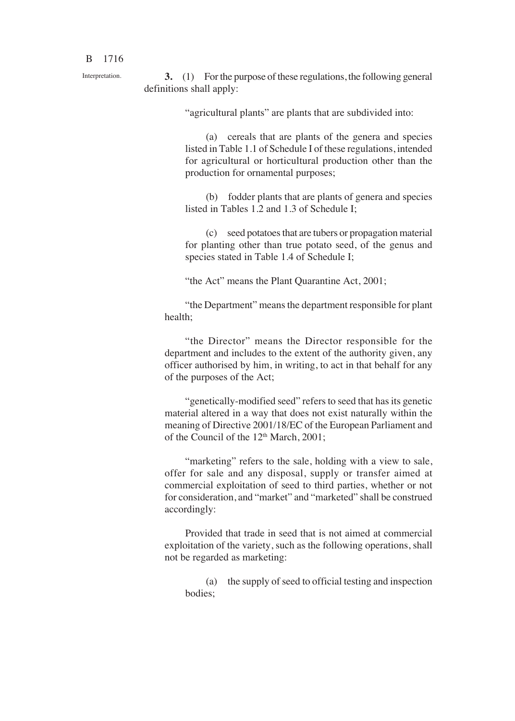Interpretation.

**3.** (1) For the purpose of these regulations, the following general definitions shall apply:

"agricultural plants" are plants that are subdivided into:

(a) cereals that are plants of the genera and species listed in Table 1.1 of Schedule I of these regulations, intended for agricultural or horticultural production other than the production for ornamental purposes<

(b) fodder plants that are plants of genera and species listed in Tables 1.2 and 1.3 of Schedule I<

(c) seed potatoes that are tubers or propagation material for planting other than true potato seed, of the genus and species stated in Table 1.4 of Schedule I;

"the Act" means the Plant Quarantine Act, 2001<

"the Department" means the department responsible for plant health:

"the Director" means the Director responsible for the department and includes to the extent of the authority given, any officer authorised by him, in writing, to act in that behalf for any of the purposes of the Act<

"genetically-modified seed" refers to seed that has its genetic material altered in a way that does not exist naturally within the meaning of Directive 2001/18/EC of the European Parliament and of the Council of the 12<sup>th</sup> March, 2001;

"marketing" refers to the sale, holding with a view to sale, offer for sale and any disposal, supply or transfer aimed at commercial exploitation of seed to third parties, whether or not for consideration, and "market" and "marketed" shall be construed accordingly:

Provided that trade in seed that is not aimed at commercial exploitation of the variety, such as the following operations, shall not be regarded as marketing:

(a) the supply of seed to official testing and inspection bodies<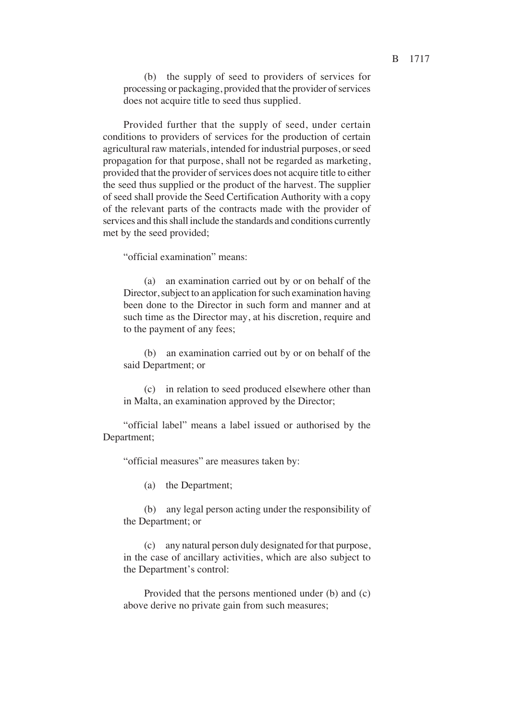(b) the supply of seed to providers of services for processing or packaging, provided that the provider of services does not acquire title to seed thus supplied.

Provided further that the supply of seed, under certain conditions to providers of services for the production of certain agricultural raw materials, intended for industrial purposes, or seed propagation for that purpose, shall not be regarded as marketing, provided that the provider of services does not acquire title to either the seed thus supplied or the product of the harvest. The supplier of seed shall provide the Seed Certification Authority with a copy of the relevant parts of the contracts made with the provider of services and this shall include the standards and conditions currently met by the seed provided<

"official examination" means:

(a) an examination carried out by or on behalf of the Director, subject to an application for such examination having been done to the Director in such form and manner and at such time as the Director may, at his discretion, require and to the payment of any fees<

(b) an examination carried out by or on behalf of the said Department; or

(c) in relation to seed produced elsewhere other than in Malta, an examination approved by the Director<

"official label" means a label issued or authorised by the Department;

"official measures" are measures taken by:

(a) the Department<

(b) any legal person acting under the responsibility of the Department; or

(c) any natural person duly designated for that purpose, in the case of ancillary activities, which are also subject to the Department's control:

Provided that the persons mentioned under (b) and (c) above derive no private gain from such measures<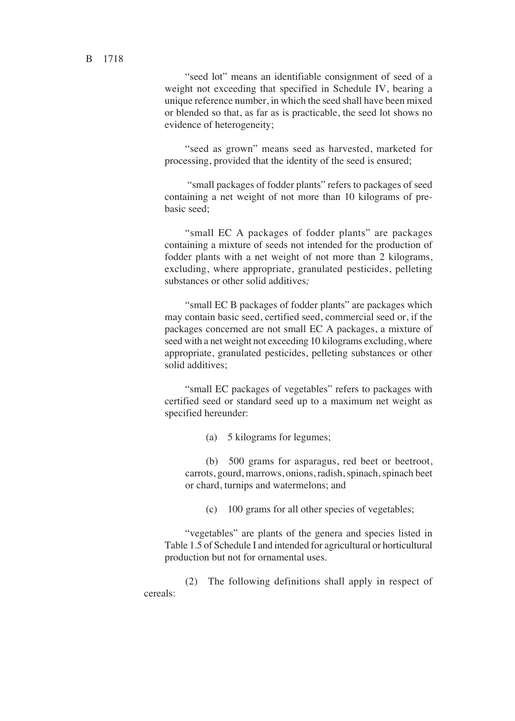"seed lot" means an identifiable consignment of seed of a weight not exceeding that specified in Schedule IV, bearing a unique reference number, in which the seed shall have been mixed or blended so that, as far as is practicable, the seed lot shows no evidence of heterogeneity<

"seed as grown" means seed as harvested, marketed for processing, provided that the identity of the seed is ensured<

"small packages of fodder plants" refers to packages of seed containing a net weight of not more than 10 kilograms of prebasic seed<

"small EC A packages of fodder plants" are packages containing a mixture of seeds not intended for the production of fodder plants with a net weight of not more than 2 kilograms, excluding, where appropriate, granulated pesticides, pelleting substances or other solid additives*<*

"small EC B packages of fodder plants" are packages which may contain basic seed, certified seed, commercial seed or, if the packages concerned are not small EC A packages, a mixture of seed with a net weight not exceeding 10 kilograms excluding, where appropriate, granulated pesticides, pelleting substances or other solid additives:

"small EC packages of vegetables" refers to packages with certified seed or standard seed up to a maximum net weight as specified hereunder:

(a) 5 kilograms for legumes<

(b) 500 grams for asparagus, red beet or beetroot, carrots, gourd, marrows, onions, radish, spinach, spinach beet or chard, turnips and watermelons< and

(c) 100 grams for all other species of vegetables<

"vegetables" are plants of the genera and species listed in Table 1.5 of Schedule I and intended for agricultural or horticultural production but not for ornamental uses*.*

(2) The following definitions shall apply in respect of cereals: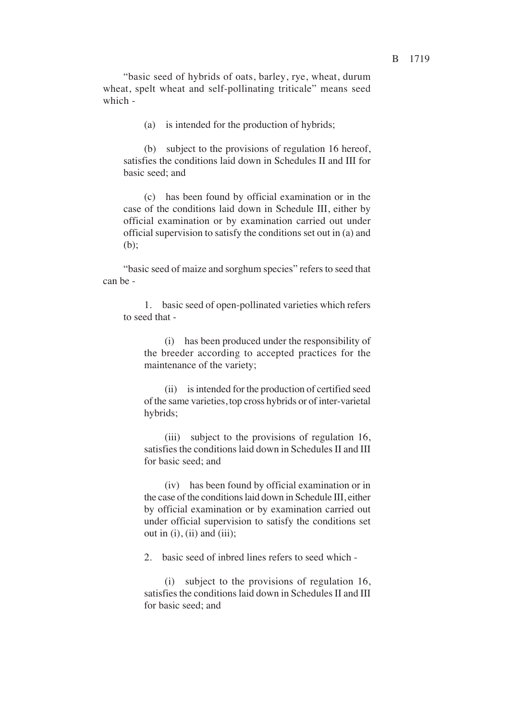"basic seed of hybrids of oats, barley, rye, wheat, durum wheat, spelt wheat and self-pollinating triticale" means seed which -

(a) is intended for the production of hybrids<

(b) subject to the provisions of regulation 16 hereof, satisfies the conditions laid down in Schedules II and III for basic seed: and

(c) has been found by official examination or in the case of the conditions laid down in Schedule III, either by official examination or by examination carried out under official supervision to satisfy the conditions set out in (a) and  $(b)$ :

"basic seed of maize and sorghum species" refers to seed that can be -

1. basic seed of open-pollinated varieties which refers to seed that -

(i) has been produced under the responsibility of the breeder according to accepted practices for the maintenance of the variety<

(ii) is intended for the production of certified seed of the same varieties, top cross hybrids or of inter-varietal hybrids<

(iii) subject to the provisions of regulation 16, satisfies the conditions laid down in Schedules II and III for basic seed: and

(iv) has been found by official examination or in the case of the conditions laid down in Schedule III, either by official examination or by examination carried out under official supervision to satisfy the conditions set out in  $(i)$ ,  $(ii)$  and  $(iii)$ ;

2. basic seed of inbred lines refers to seed which -

(i) subject to the provisions of regulation 16, satisfies the conditions laid down in Schedules II and III for basic seed: and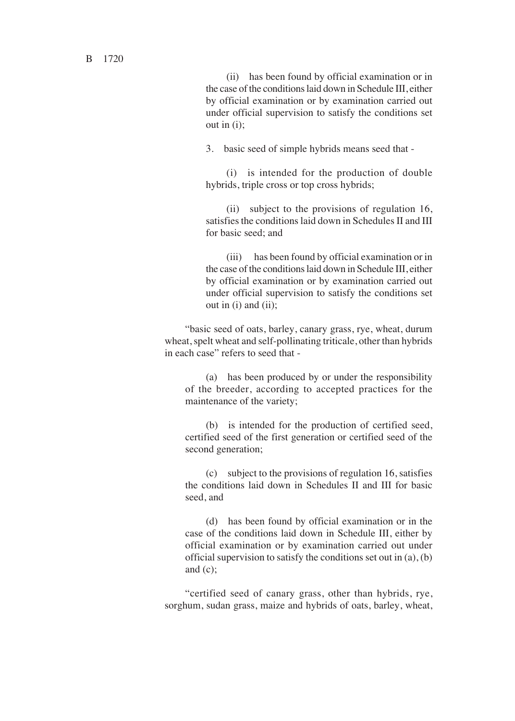(ii) has been found by official examination or in the case of the conditions laid down in Schedule III, either by official examination or by examination carried out under official supervision to satisfy the conditions set out in  $(i)$ :

3. basic seed of simple hybrids means seed that -

(i) is intended for the production of double hybrids, triple cross or top cross hybrids<

(ii) subject to the provisions of regulation 16, satisfies the conditions laid down in Schedules II and III for basic seed: and

(iii) has been found by official examination or in the case of the conditions laid down in Schedule III, either by official examination or by examination carried out under official supervision to satisfy the conditions set out in  $(i)$  and  $(ii)$ ;

"basic seed of oats, barley, canary grass, rye, wheat, durum wheat, spelt wheat and self-pollinating triticale, other than hybrids in each case" refers to seed that -

(a) has been produced by or under the responsibility of the breeder, according to accepted practices for the maintenance of the variety<

(b) is intended for the production of certified seed, certified seed of the first generation or certified seed of the second generation;

(c) subject to the provisions of regulation 16, satisfies the conditions laid down in Schedules II and III for basic seed, and

(d) has been found by official examination or in the case of the conditions laid down in Schedule III, either by official examination or by examination carried out under official supervision to satisfy the conditions set out in (a), (b) and  $(c)$ ;

"certified seed of canary grass, other than hybrids, rye, sorghum, sudan grass, maize and hybrids of oats, barley, wheat,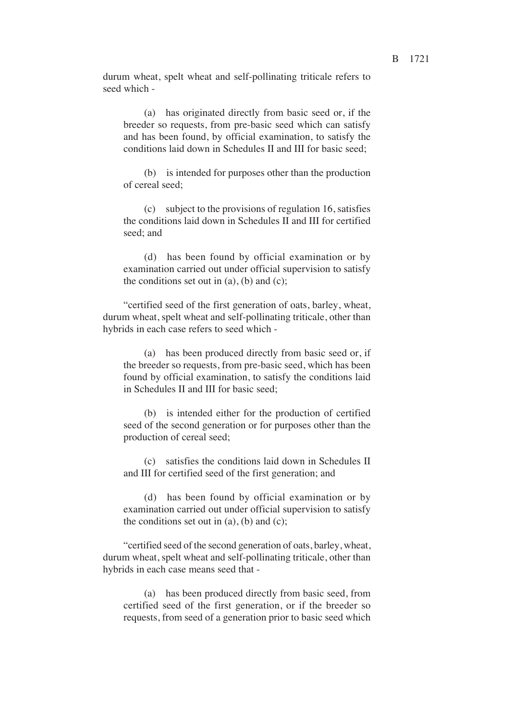durum wheat, spelt wheat and self-pollinating triticale refers to seed which -

(a) has originated directly from basic seed or, if the breeder so requests, from pre-basic seed which can satisfy and has been found, by official examination, to satisfy the conditions laid down in Schedules II and III for basic seed<

(b) is intended for purposes other than the production of cereal seed<

(c) subject to the provisions of regulation 16, satisfies the conditions laid down in Schedules II and III for certified seed: and

(d) has been found by official examination or by examination carried out under official supervision to satisfy the conditions set out in  $(a)$ ,  $(b)$  and  $(c)$ ;

"certified seed of the first generation of oats, barley, wheat, durum wheat, spelt wheat and self-pollinating triticale, other than hybrids in each case refers to seed which -

(a) has been produced directly from basic seed or, if the breeder so requests, from pre-basic seed, which has been found by official examination, to satisfy the conditions laid in Schedules II and III for basic seed<

(b) is intended either for the production of certified seed of the second generation or for purposes other than the production of cereal seed<

(c) satisfies the conditions laid down in Schedules II and III for certified seed of the first generation; and

(d) has been found by official examination or by examination carried out under official supervision to satisfy the conditions set out in  $(a)$ ,  $(b)$  and  $(c)$ ;

"certified seed of the second generation of oats, barley, wheat, durum wheat, spelt wheat and self-pollinating triticale, other than hybrids in each case means seed that -

(a) has been produced directly from basic seed, from certified seed of the first generation, or if the breeder so requests, from seed of a generation prior to basic seed which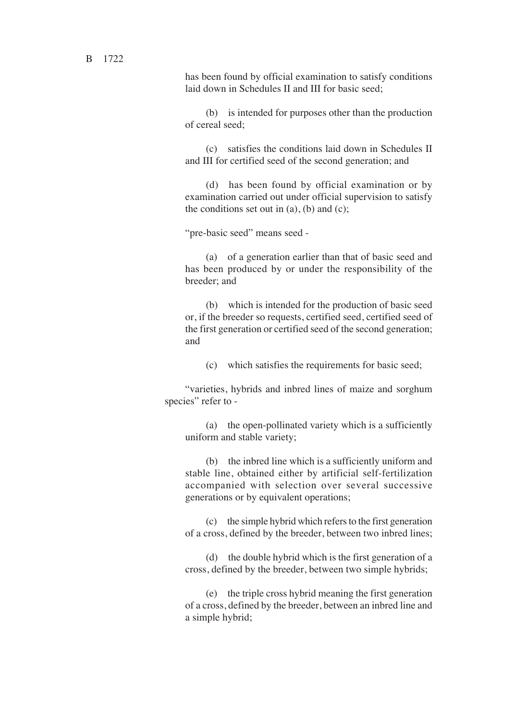has been found by official examination to satisfy conditions laid down in Schedules II and III for basic seed<

(b) is intended for purposes other than the production of cereal seed<

(c) satisfies the conditions laid down in Schedules II and III for certified seed of the second generation< and

(d) has been found by official examination or by examination carried out under official supervision to satisfy the conditions set out in  $(a)$ ,  $(b)$  and  $(c)$ ;

"pre-basic seed" means seed -

(a) of a generation earlier than that of basic seed and has been produced by or under the responsibility of the breeder: and

(b) which is intended for the production of basic seed or, if the breeder so requests, certified seed, certified seed of the first generation or certified seed of the second generation< and

(c) which satisfies the requirements for basic seed<

"varieties, hybrids and inbred lines of maize and sorghum species" refer to -

(a) the open-pollinated variety which is a sufficiently uniform and stable variety<

(b) the inbred line which is a sufficiently uniform and stable line, obtained either by artificial self-fertilization accompanied with selection over several successive generations or by equivalent operations<

(c) the simple hybrid which refers to the first generation of a cross, defined by the breeder, between two inbred lines<

(d) the double hybrid which is the first generation of a cross, defined by the breeder, between two simple hybrids<

(e) the triple cross hybrid meaning the first generation of a cross, defined by the breeder, between an inbred line and a simple hybrid<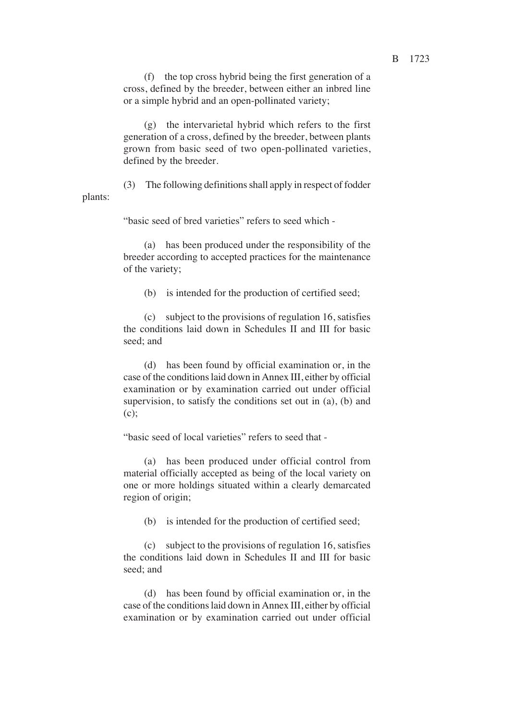(f) the top cross hybrid being the first generation of a cross, defined by the breeder, between either an inbred line or a simple hybrid and an open-pollinated variety<

(g) the intervarietal hybrid which refers to the first generation of a cross, defined by the breeder, between plants grown from basic seed of two open-pollinated varieties, defined by the breeder.

(3) The following definitions shall apply in respect of fodder plants:

"basic seed of bred varieties" refers to seed which -

(a) has been produced under the responsibility of the breeder according to accepted practices for the maintenance of the variety<

(b) is intended for the production of certified seed<

(c) subject to the provisions of regulation 16, satisfies the conditions laid down in Schedules II and III for basic seed: and

(d) has been found by official examination or, in the case of the conditions laid down in Annex III, either by official examination or by examination carried out under official supervision, to satisfy the conditions set out in (a), (b) and  $(c)$ :

"basic seed of local varieties" refers to seed that -

(a) has been produced under official control from material officially accepted as being of the local variety on one or more holdings situated within a clearly demarcated region of origin<

(b) is intended for the production of certified seed<

(c) subject to the provisions of regulation 16, satisfies the conditions laid down in Schedules II and III for basic seed: and

(d) has been found by official examination or, in the case of the conditions laid down in Annex III, either by official examination or by examination carried out under official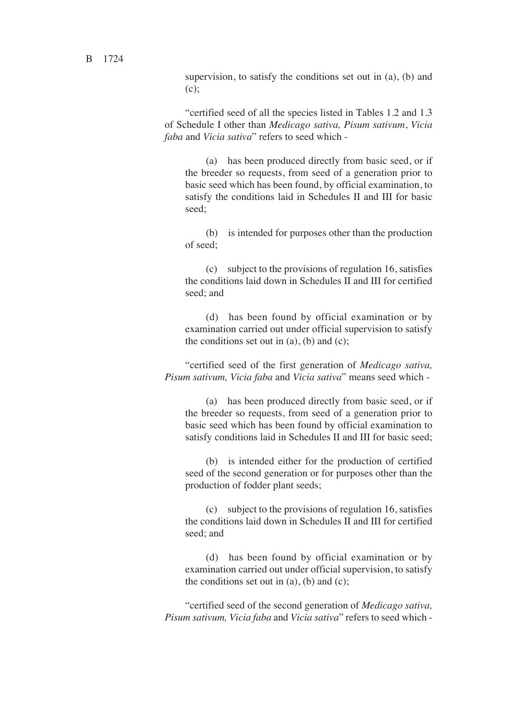supervision, to satisfy the conditions set out in (a), (b) and  $(c)$ :

"certified seed of all the species listed in Tables 1.2 and 1.3 of Schedule I other than *Medicago sativa, Pisum sativum*, *Vicia faba* and *Vicia sativa*" refers to seed which -

(a) has been produced directly from basic seed, or if the breeder so requests, from seed of a generation prior to basic seed which has been found, by official examination, to satisfy the conditions laid in Schedules II and III for basic seed:

(b) is intended for purposes other than the production of seed<

(c) subject to the provisions of regulation 16, satisfies the conditions laid down in Schedules II and III for certified seed: and

(d) has been found by official examination or by examination carried out under official supervision to satisfy the conditions set out in  $(a)$ ,  $(b)$  and  $(c)$ ;

"certified seed of the first generation of *Medicago sativa, Pisum sativum, Vicia faba* and *Vicia sativa*" means seed which -

(a) has been produced directly from basic seed, or if the breeder so requests, from seed of a generation prior to basic seed which has been found by official examination to satisfy conditions laid in Schedules II and III for basic seed<

(b) is intended either for the production of certified seed of the second generation or for purposes other than the production of fodder plant seeds<

(c) subject to the provisions of regulation 16, satisfies the conditions laid down in Schedules II and III for certified seed: and

(d) has been found by official examination or by examination carried out under official supervision, to satisfy the conditions set out in  $(a)$ ,  $(b)$  and  $(c)$ ;

"certified seed of the second generation of *Medicago sativa, Pisum sativum, Vicia faba* and *Vicia sativa*" refers to seed which -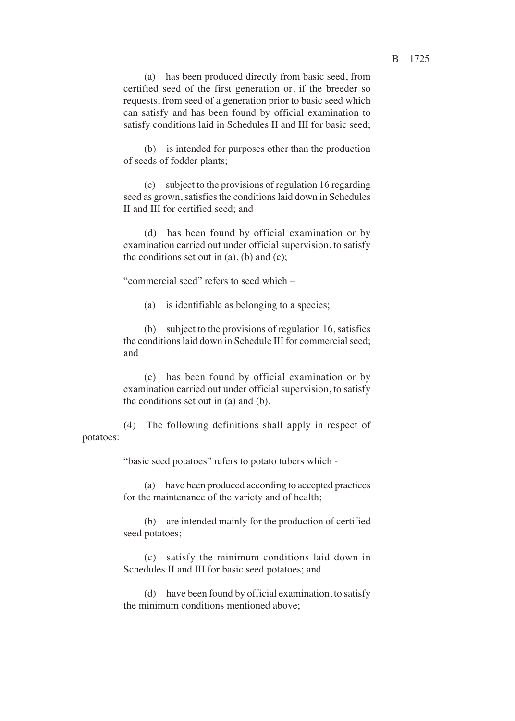(b) is intended for purposes other than the production of seeds of fodder plants<

(c) subject to the provisions of regulation 16 regarding seed as grown, satisfies the conditions laid down in Schedules II and III for certified seed: and

(d) has been found by official examination or by examination carried out under official supervision, to satisfy the conditions set out in  $(a)$ ,  $(b)$  and  $(c)$ ;

"commercial seed" refers to seed which –

(a) is identifiable as belonging to a species<

(b) subject to the provisions of regulation 16, satisfies the conditions laid down in Schedule III for commercial seed< and

(c) has been found by official examination or by examination carried out under official supervision, to satisfy the conditions set out in (a) and (b).

(4) The following definitions shall apply in respect of potatoes:

"basic seed potatoes" refers to potato tubers which -

(a) have been produced according to accepted practices for the maintenance of the variety and of health<

(b) are intended mainly for the production of certified seed potatoes<

(c) satisfy the minimum conditions laid down in Schedules II and III for basic seed potatoes; and

(d) have been found by official examination, to satisfy the minimum conditions mentioned above<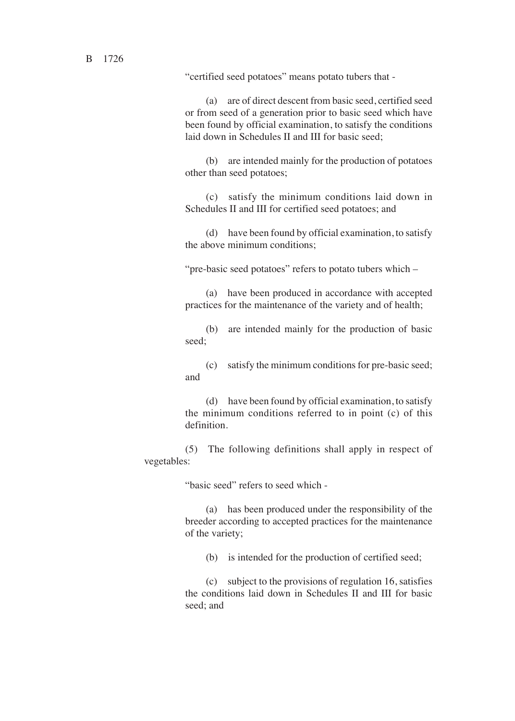"certified seed potatoes" means potato tubers that -

(a) are of direct descent from basic seed, certified seed or from seed of a generation prior to basic seed which have been found by official examination, to satisfy the conditions laid down in Schedules II and III for basic seed<

(b) are intended mainly for the production of potatoes other than seed potatoes<

(c) satisfy the minimum conditions laid down in Schedules II and III for certified seed potatoes; and

(d) have been found by official examination, to satisfy the above minimum conditions<

"pre-basic seed potatoes" refers to potato tubers which –

(a) have been produced in accordance with accepted practices for the maintenance of the variety and of health<

(b) are intended mainly for the production of basic seed:

(c) satisfy the minimum conditions for pre-basic seed< and

(d) have been found by official examination, to satisfy the minimum conditions referred to in point (c) of this definition.

(5) The following definitions shall apply in respect of vegetables:

"basic seed" refers to seed which -

(a) has been produced under the responsibility of the breeder according to accepted practices for the maintenance of the variety<

(b) is intended for the production of certified seed<

(c) subject to the provisions of regulation 16, satisfies the conditions laid down in Schedules II and III for basic seed: and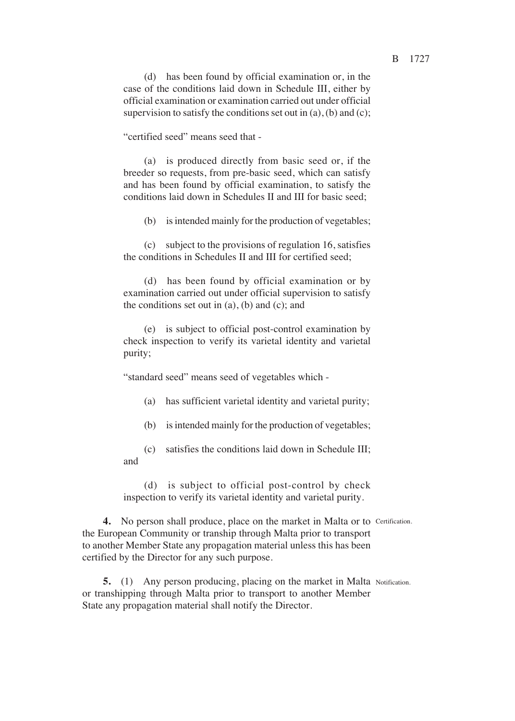(d) has been found by official examination or, in the case of the conditions laid down in Schedule III, either by official examination or examination carried out under official supervision to satisfy the conditions set out in  $(a)$ ,  $(b)$  and  $(c)$ ;

"certified seed" means seed that -

(a) is produced directly from basic seed or, if the breeder so requests, from pre-basic seed, which can satisfy and has been found by official examination, to satisfy the conditions laid down in Schedules II and III for basic seed<

(b) is intended mainly for the production of vegetables<

(c) subject to the provisions of regulation 16, satisfies the conditions in Schedules II and III for certified seed<

(d) has been found by official examination or by examination carried out under official supervision to satisfy the conditions set out in  $(a)$ ,  $(b)$  and  $(c)$ ; and

(e) is subject to official post-control examination by check inspection to verify its varietal identity and varietal purity;

"standard seed" means seed of vegetables which -

- (a) has sufficient varietal identity and varietal purity<
- (b) is intended mainly for the production of vegetables<

(c) satisfies the conditions laid down in Schedule III< and

(d) is subject to official post-control by check inspection to verify its varietal identity and varietal purity.

4. No person shall produce, place on the market in Malta or to Certification. the European Community or tranship through Malta prior to transport to another Member State any propagation material unless this has been certified by the Director for any such purpose.

**5.** (1) Any person producing, placing on the market in Malta Notification. or transhipping through Malta prior to transport to another Member State any propagation material shall notify the Director.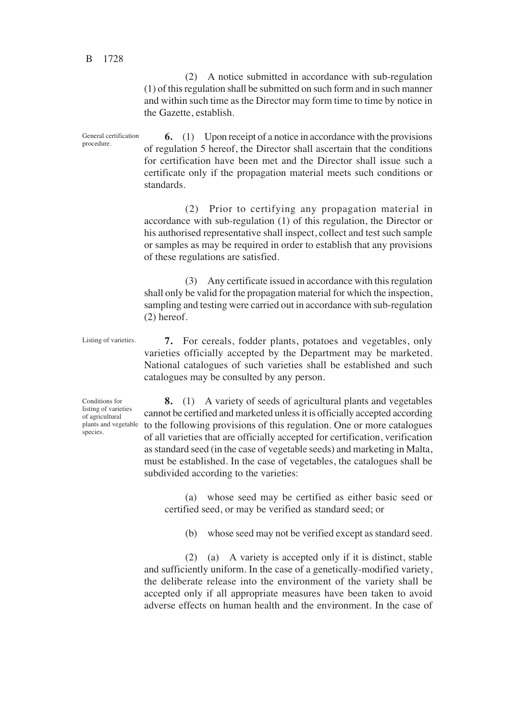(2) A notice submitted in accordance with sub-regulation (1) of this regulation shall be submitted on such form and in such manner and within such time as the Director may form time to time by notice in the Gazette, establish.

**6.** (1) Upon receipt of a notice in accordance with the provisions of regulation 5 hereof, the Director shall ascertain that the conditions for certification have been met and the Director shall issue such a certificate only if the propagation material meets such conditions or standards. General certification procedure.

> (2) Prior to certifying any propagation material in accordance with sub-regulation (1) of this regulation, the Director or his authorised representative shall inspect, collect and test such sample or samples as may be required in order to establish that any provisions of these regulations are satisfied.

> (3) Any certificate issued in accordance with this regulation shall only be valid for the propagation material for which the inspection, sampling and testing were carried out in accordance with sub-regulation (2) hereof.

Listing of varieties.

**7.** For cereals, fodder plants, potatoes and vegetables, only varieties officially accepted by the Department may be marketed. National catalogues of such varieties shall be established and such catalogues may be consulted by any person.

Conditions for listing of varieties of agricultural plants and vegetable species.

**8.** (1) A variety of seeds of agricultural plants and vegetables cannot be certified and marketed unless it is officially accepted according to the following provisions of this regulation. One or more catalogues of all varieties that are officially accepted for certification, verification as standard seed (in the case of vegetable seeds) and marketing in Malta, must be established. In the case of vegetables, the catalogues shall be subdivided according to the varieties:

(a) whose seed may be certified as either basic seed or certified seed, or may be verified as standard seed; or

(b) whose seed may not be verified except as standard seed.

(2) (a) A variety is accepted only if it is distinct, stable and sufficiently uniform. In the case of a genetically-modified variety, the deliberate release into the environment of the variety shall be accepted only if all appropriate measures have been taken to avoid adverse effects on human health and the environment. In the case of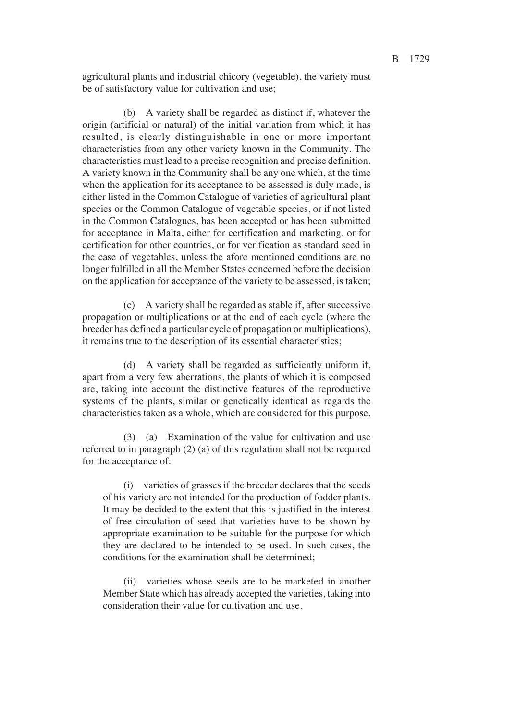agricultural plants and industrial chicory (vegetable), the variety must be of satisfactory value for cultivation and use;

(b) A variety shall be regarded as distinct if, whatever the origin (artificial or natural) of the initial variation from which it has resulted, is clearly distinguishable in one or more important characteristics from any other variety known in the Community. The characteristics must lead to a precise recognition and precise definition. A variety known in the Community shall be any one which, at the time when the application for its acceptance to be assessed is duly made, is either listed in the Common Catalogue of varieties of agricultural plant species or the Common Catalogue of vegetable species, or if not listed in the Common Catalogues, has been accepted or has been submitted for acceptance in Malta, either for certification and marketing, or for certification for other countries, or for verification as standard seed in the case of vegetables, unless the afore mentioned conditions are no longer fulfilled in all the Member States concerned before the decision on the application for acceptance of the variety to be assessed, is taken<

(c) A variety shall be regarded as stable if, after successive propagation or multiplications or at the end of each cycle (where the breeder has defined a particular cycle of propagation or multiplications), it remains true to the description of its essential characteristics<

(d) A variety shall be regarded as sufficiently uniform if, apart from a very few aberrations, the plants of which it is composed are, taking into account the distinctive features of the reproductive systems of the plants, similar or genetically identical as regards the characteristics taken as a whole, which are considered for this purpose.

(3) (a) Examination of the value for cultivation and use referred to in paragraph (2) (a) of this regulation shall not be required for the acceptance of:

(i) varieties of grasses if the breeder declares that the seeds of his variety are not intended for the production of fodder plants. It may be decided to the extent that this is justified in the interest of free circulation of seed that varieties have to be shown by appropriate examination to be suitable for the purpose for which they are declared to be intended to be used. In such cases, the conditions for the examination shall be determined<

(ii) varieties whose seeds are to be marketed in another Member State which has already accepted the varieties, taking into consideration their value for cultivation and use.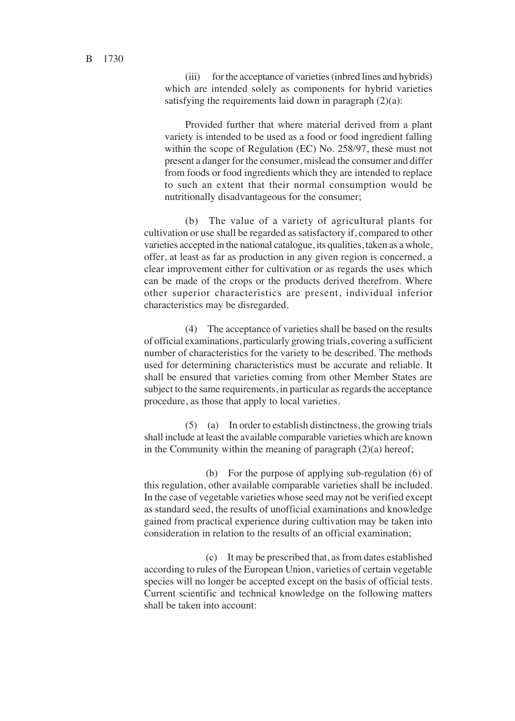(iii) for the acceptance of varieties (inbred lines and hybrids) which are intended solely as components for hybrid varieties satisfying the requirements laid down in paragraph  $(2)(a)$ :

Provided further that where material derived from a plant variety is intended to be used as a food or food ingredient falling within the scope of Regulation (EC) No.  $258/97$ , these must not present a danger for the consumer, mislead the consumer and differ from foods or food ingredients which they are intended to replace to such an extent that their normal consumption would be nutritionally disadvantageous for the consumer<

(b) The value of a variety of agricultural plants for cultivation or use shall be regarded as satisfactory if, compared to other varieties accepted in the national catalogue, its qualities, taken as a whole, offer, at least as far as production in any given region is concerned, a clear improvement either for cultivation or as regards the uses which can be made of the crops or the products derived therefrom. Where other superior characteristics are present, individual inferior characteristics may be disregarded.

(4) The acceptance of varieties shall be based on the results of official examinations, particularly growing trials, covering a sufficient number of characteristics for the variety to be described. The methods used for determining characteristics must be accurate and reliable. It shall be ensured that varieties coming from other Member States are subject to the same requirements, in particular as regards the acceptance procedure, as those that apply to local varieties.

(5) (a) In order to establish distinctness, the growing trials shall include at least the available comparable varieties which are known in the Community within the meaning of paragraph  $(2)(a)$  hereof;

(b) For the purpose of applying sub-regulation (6) of this regulation, other available comparable varieties shall be included. In the case of vegetable varieties whose seed may not be verified except as standard seed, the results of unofficial examinations and knowledge gained from practical experience during cultivation may be taken into consideration in relation to the results of an official examination<

(c) It may be prescribed that, as from dates established according to rules of the European Union, varieties of certain vegetable species will no longer be accepted except on the basis of official tests. Current scientific and technical knowledge on the following matters shall be taken into account: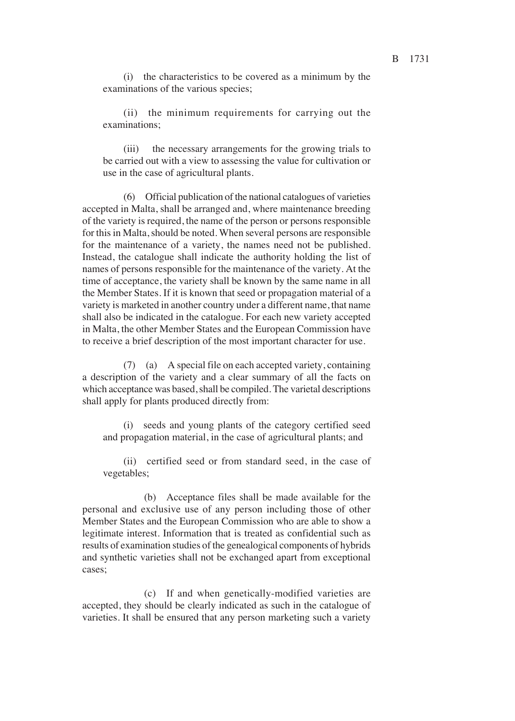(ii) the minimum requirements for carrying out the examinations<

(iii) the necessary arrangements for the growing trials to be carried out with a view to assessing the value for cultivation or use in the case of agricultural plants.

(6) Official publication of the national catalogues of varieties accepted in Malta, shall be arranged and, where maintenance breeding of the variety is required, the name of the person or persons responsible for this in Malta, should be noted. When several persons are responsible for the maintenance of a variety, the names need not be published. Instead, the catalogue shall indicate the authority holding the list of names of persons responsible for the maintenance of the variety. At the time of acceptance, the variety shall be known by the same name in all the Member States. If it is known that seed or propagation material of a variety is marketed in another country under a different name, that name shall also be indicated in the catalogue. For each new variety accepted in Malta, the other Member States and the European Commission have to receive a brief description of the most important character for use.

(7) (a) A special file on each accepted variety, containing a description of the variety and a clear summary of all the facts on which acceptance was based, shall be compiled. The varietal descriptions shall apply for plants produced directly from:

(i) seeds and young plants of the category certified seed and propagation material, in the case of agricultural plants< and

(ii) certified seed or from standard seed, in the case of vegetables<

(b) Acceptance files shall be made available for the personal and exclusive use of any person including those of other Member States and the European Commission who are able to show a legitimate interest. Information that is treated as confidential such as results of examination studies of the genealogical components of hybrids and synthetic varieties shall not be exchanged apart from exceptional cases:

(c) If and when genetically-modified varieties are accepted, they should be clearly indicated as such in the catalogue of varieties. It shall be ensured that any person marketing such a variety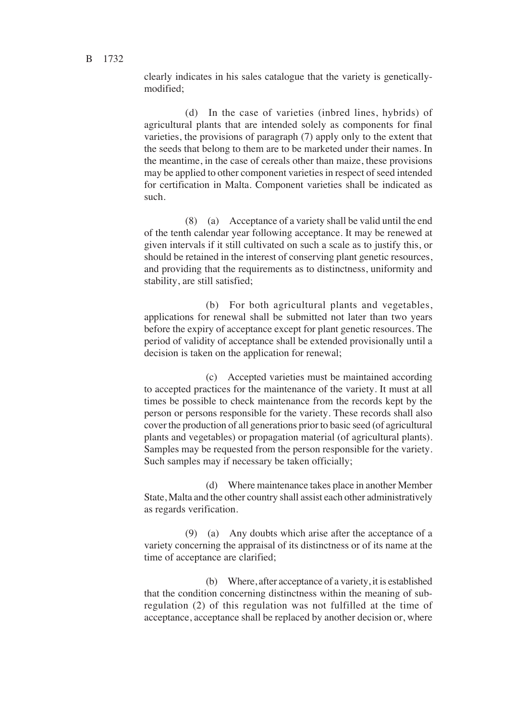clearly indicates in his sales catalogue that the variety is geneticallymodified<

(d) In the case of varieties (inbred lines, hybrids) of agricultural plants that are intended solely as components for final varieties, the provisions of paragraph (7) apply only to the extent that the seeds that belong to them are to be marketed under their names. In the meantime, in the case of cereals other than maize, these provisions may be applied to other component varieties in respect of seed intended for certification in Malta. Component varieties shall be indicated as such.

(8) (a) Acceptance of a variety shall be valid until the end of the tenth calendar year following acceptance. It may be renewed at given intervals if it still cultivated on such a scale as to justify this, or should be retained in the interest of conserving plant genetic resources, and providing that the requirements as to distinctness, uniformity and stability, are still satisfied<

(b) For both agricultural plants and vegetables, applications for renewal shall be submitted not later than two years before the expiry of acceptance except for plant genetic resources. The period of validity of acceptance shall be extended provisionally until a decision is taken on the application for renewal;

(c) Accepted varieties must be maintained according to accepted practices for the maintenance of the variety. It must at all times be possible to check maintenance from the records kept by the person or persons responsible for the variety. These records shall also cover the production of all generations prior to basic seed (of agricultural plants and vegetables) or propagation material (of agricultural plants). Samples may be requested from the person responsible for the variety. Such samples may if necessary be taken officially;

(d) Where maintenance takes place in another Member State, Malta and the other country shall assist each other administratively as regards verification.

(9) (a) Any doubts which arise after the acceptance of a variety concerning the appraisal of its distinctness or of its name at the time of acceptance are clarified;

(b) Where, after acceptance of a variety, it is established that the condition concerning distinctness within the meaning of subregulation (2) of this regulation was not fulfilled at the time of acceptance, acceptance shall be replaced by another decision or, where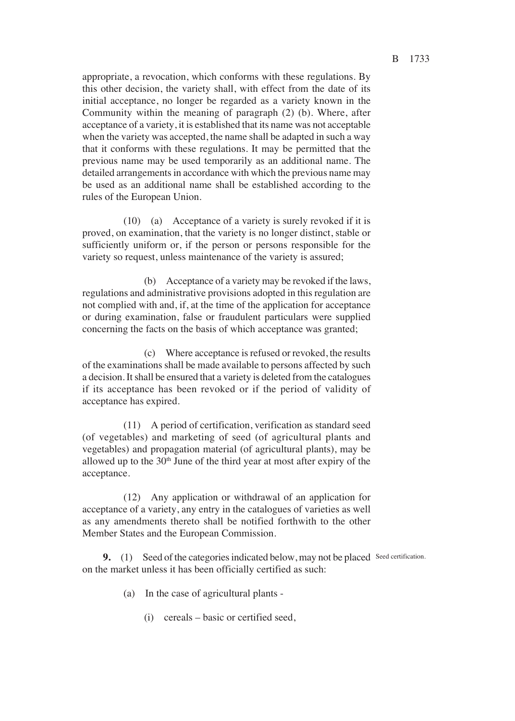appropriate, a revocation, which conforms with these regulations. By this other decision, the variety shall, with effect from the date of its initial acceptance, no longer be regarded as a variety known in the Community within the meaning of paragraph (2) (b). Where, after acceptance of a variety, it is established that its name was not acceptable when the variety was accepted, the name shall be adapted in such a way that it conforms with these regulations. It may be permitted that the previous name may be used temporarily as an additional name. The detailed arrangements in accordance with which the previous name may be used as an additional name shall be established according to the rules of the European Union.

(10) (a) Acceptance of a variety is surely revoked if it is proved, on examination, that the variety is no longer distinct, stable or sufficiently uniform or, if the person or persons responsible for the variety so request, unless maintenance of the variety is assured<

(b) Acceptance of a variety may be revoked if the laws, regulations and administrative provisions adopted in this regulation are not complied with and, if, at the time of the application for acceptance or during examination, false or fraudulent particulars were supplied concerning the facts on the basis of which acceptance was granted<

(c) Where acceptance is refused or revoked, the results of the examinations shall be made available to persons affected by such a decision. It shall be ensured that a variety is deleted from the catalogues if its acceptance has been revoked or if the period of validity of acceptance has expired.

(11) A period of certification, verification as standard seed (of vegetables) and marketing of seed (of agricultural plants and vegetables) and propagation material (of agricultural plants), may be allowed up to the  $30<sup>th</sup>$  June of the third year at most after expiry of the acceptance.

(12) Any application or withdrawal of an application for acceptance of a variety, any entry in the catalogues of varieties as well as any amendments thereto shall be notified forthwith to the other Member States and the European Commission.

**9.** (1) Seed of the categories indicated below, may not be placed Seed certification. on the market unless it has been officially certified as such:

- (a) In the case of agricultural plants
	- (i) cereals basic or certified seed,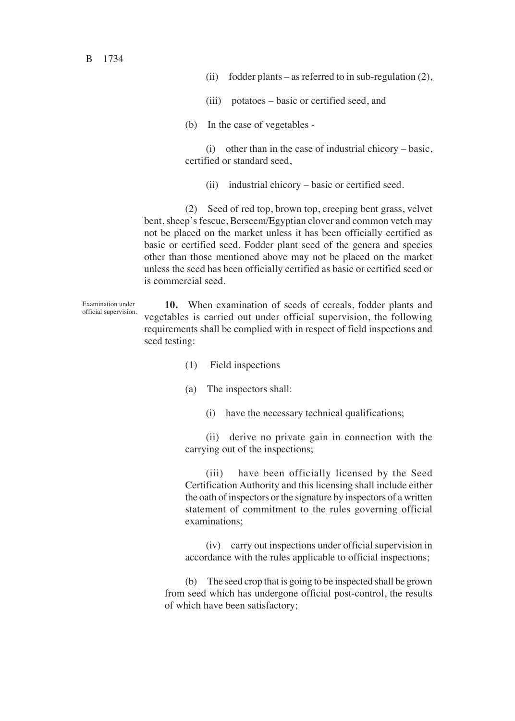B 1734

Examination under

- (ii) fodder plants as referred to in sub-regulation  $(2)$ ,
- (iii) potatoes basic or certified seed, and
- (b) In the case of vegetables -

(i) other than in the case of industrial chicory – basic, certified or standard seed,

(ii) industrial chicory – basic or certified seed.

(2) Seed of red top, brown top, creeping bent grass, velvet bent, sheep's fescue, Berseem/Egyptian clover and common vetch may not be placed on the market unless it has been officially certified as basic or certified seed. Fodder plant seed of the genera and species other than those mentioned above may not be placed on the market unless the seed has been officially certified as basic or certified seed or is commercial seed.

**10.** When examination of seeds of cereals, fodder plants and vegetables is carried out under official supervision, the following requirements shall be complied with in respect of field inspections and seed testing: official supervision.

- (1) Field inspections
- $(a)$  The inspectors shall:
	- (i) have the necessary technical qualifications<

(ii) derive no private gain in connection with the carrying out of the inspections<

(iii) have been officially licensed by the Seed Certification Authority and this licensing shall include either the oath of inspectors or the signature by inspectors of a written statement of commitment to the rules governing official examinations<

(iv) carry out inspections under official supervision in accordance with the rules applicable to official inspections<

(b) The seed crop that is going to be inspected shall be grown from seed which has undergone official post-control, the results of which have been satisfactory<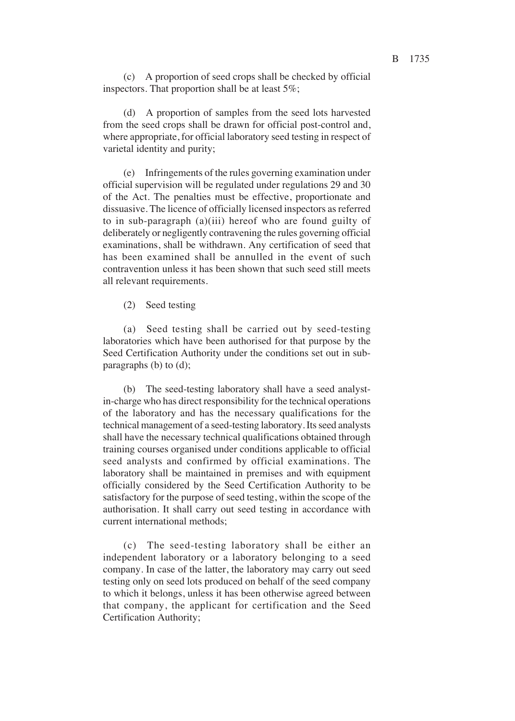(c) A proportion of seed crops shall be checked by official inspectors. That proportion shall be at least  $5\%$ ;

(d) A proportion of samples from the seed lots harvested from the seed crops shall be drawn for official post-control and, where appropriate, for official laboratory seed testing in respect of varietal identity and purity<

(e) Infringements of the rules governing examination under official supervision will be regulated under regulations 29 and 30 of the Act. The penalties must be effective, proportionate and dissuasive. The licence of officially licensed inspectors as referred to in sub-paragraph (a)(iii) hereof who are found guilty of deliberately or negligently contravening the rules governing official examinations, shall be withdrawn. Any certification of seed that has been examined shall be annulled in the event of such contravention unless it has been shown that such seed still meets all relevant requirements.

#### (2) Seed testing

(a) Seed testing shall be carried out by seed-testing laboratories which have been authorised for that purpose by the Seed Certification Authority under the conditions set out in subparagraphs (b) to  $(d)$ ;

(b) The seed-testing laboratory shall have a seed analystin-charge who has direct responsibility for the technical operations of the laboratory and has the necessary qualifications for the technical management of a seed-testing laboratory. Its seed analysts shall have the necessary technical qualifications obtained through training courses organised under conditions applicable to official seed analysts and confirmed by official examinations. The laboratory shall be maintained in premises and with equipment officially considered by the Seed Certification Authority to be satisfactory for the purpose of seed testing, within the scope of the authorisation. It shall carry out seed testing in accordance with current international methods<

(c) The seed-testing laboratory shall be either an independent laboratory or a laboratory belonging to a seed company. In case of the latter, the laboratory may carry out seed testing only on seed lots produced on behalf of the seed company to which it belongs, unless it has been otherwise agreed between that company, the applicant for certification and the Seed Certification Authority<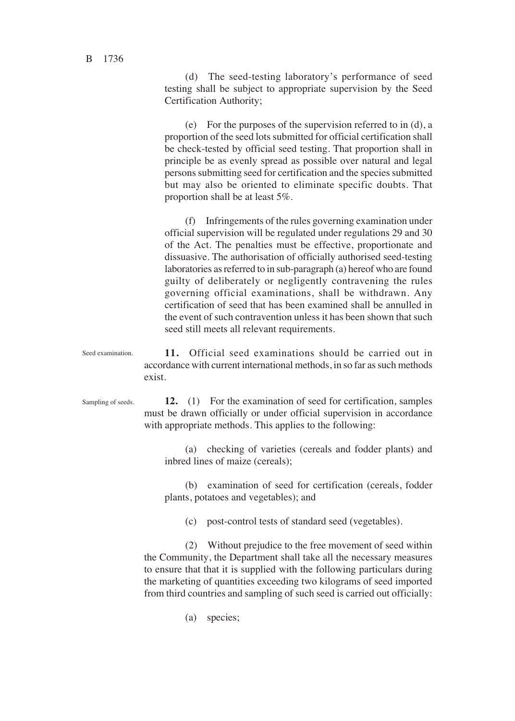(d) The seed-testing laboratory's performance of seed testing shall be subject to appropriate supervision by the Seed Certification Authority<

(e) For the purposes of the supervision referred to in (d), a proportion of the seed lots submitted for official certification shall be check-tested by official seed testing. That proportion shall in principle be as evenly spread as possible over natural and legal persons submitting seed for certification and the species submitted but may also be oriented to eliminate specific doubts. That proportion shall be at least 5%.

(f) Infringements of the rules governing examination under official supervision will be regulated under regulations 29 and 30 of the Act. The penalties must be effective, proportionate and dissuasive. The authorisation of officially authorised seed-testing laboratories as referred to in sub-paragraph (a) hereof who are found guilty of deliberately or negligently contravening the rules governing official examinations, shall be withdrawn. Any certification of seed that has been examined shall be annulled in the event of such contravention unless it has been shown that such seed still meets all relevant requirements.

**11.** Official seed examinations should be carried out in accordance with current international methods, in so far as such methods exist. Seed examination.

Sampling of seeds.

**12.** (1) For the examination of seed for certification, samples must be drawn officially or under official supervision in accordance with appropriate methods. This applies to the following:

(a) checking of varieties (cereals and fodder plants) and inbred lines of maize (cereals)<

(b) examination of seed for certification (cereals, fodder plants, potatoes and vegetables)< and

(c) post-control tests of standard seed (vegetables).

(2) Without prejudice to the free movement of seed within the Community, the Department shall take all the necessary measures to ensure that that it is supplied with the following particulars during the marketing of quantities exceeding two kilograms of seed imported from third countries and sampling of such seed is carried out officially:

(a) species;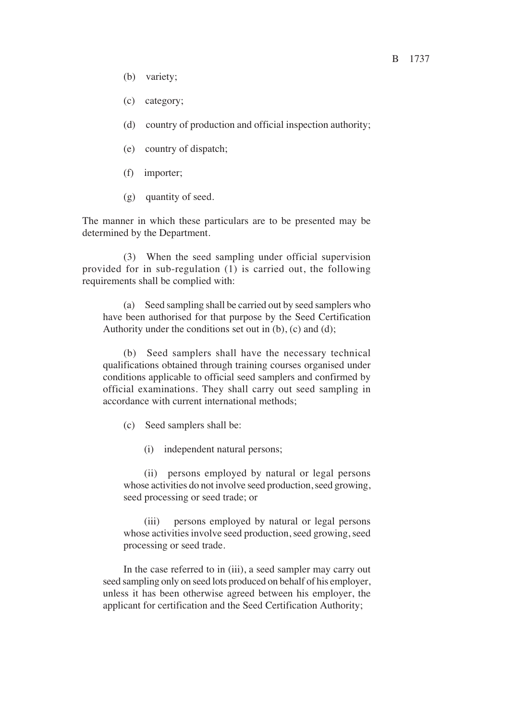- (b) variety;
- (c) category<
- (d) country of production and official inspection authority<
- (e) country of dispatch<
- (f) importer<
- (g) quantity of seed.

The manner in which these particulars are to be presented may be determined by the Department.

(3) When the seed sampling under official supervision provided for in sub-regulation (1) is carried out, the following requirements shall be complied with:

(a) Seed sampling shall be carried out by seed samplers who have been authorised for that purpose by the Seed Certification Authority under the conditions set out in  $(b)$ ,  $(c)$  and  $(d)$ ;

(b) Seed samplers shall have the necessary technical qualifications obtained through training courses organised under conditions applicable to official seed samplers and confirmed by official examinations. They shall carry out seed sampling in accordance with current international methods<

(c) Seed samplers shall be:

(i) independent natural persons<

(ii) persons employed by natural or legal persons whose activities do not involve seed production, seed growing, seed processing or seed trade; or

(iii) persons employed by natural or legal persons whose activities involve seed production, seed growing, seed processing or seed trade.

In the case referred to in (iii), a seed sampler may carry out seed sampling only on seed lots produced on behalf of his employer, unless it has been otherwise agreed between his employer, the applicant for certification and the Seed Certification Authority<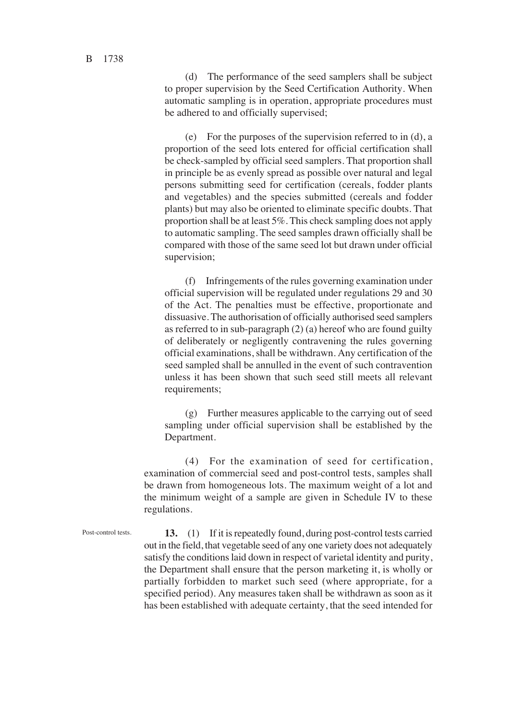(d) The performance of the seed samplers shall be subject to proper supervision by the Seed Certification Authority. When automatic sampling is in operation, appropriate procedures must be adhered to and officially supervised<

(e) For the purposes of the supervision referred to in (d), a proportion of the seed lots entered for official certification shall be check-sampled by official seed samplers. That proportion shall in principle be as evenly spread as possible over natural and legal persons submitting seed for certification (cereals, fodder plants and vegetables) and the species submitted (cereals and fodder plants) but may also be oriented to eliminate specific doubts. That proportion shall be at least 5%. This check sampling does not apply to automatic sampling. The seed samples drawn officially shall be compared with those of the same seed lot but drawn under official supervision;

(f) Infringements of the rules governing examination under official supervision will be regulated under regulations 29 and 30 of the Act. The penalties must be effective, proportionate and dissuasive. The authorisation of officially authorised seed samplers as referred to in sub-paragraph (2) (a) hereof who are found guilty of deliberately or negligently contravening the rules governing official examinations, shall be withdrawn. Any certification of the seed sampled shall be annulled in the event of such contravention unless it has been shown that such seed still meets all relevant requirements<

(g) Further measures applicable to the carrying out of seed sampling under official supervision shall be established by the Department.

(4) For the examination of seed for certification, examination of commercial seed and post-control tests, samples shall be drawn from homogeneous lots. The maximum weight of a lot and the minimum weight of a sample are given in Schedule IV to these regulations.

Post-control tests.

**13.** (1) If it is repeatedly found, during post-control tests carried out in the field, that vegetable seed of any one variety does not adequately satisfy the conditions laid down in respect of varietal identity and purity, the Department shall ensure that the person marketing it, is wholly or partially forbidden to market such seed (where appropriate, for a specified period). Any measures taken shall be withdrawn as soon as it has been established with adequate certainty, that the seed intended for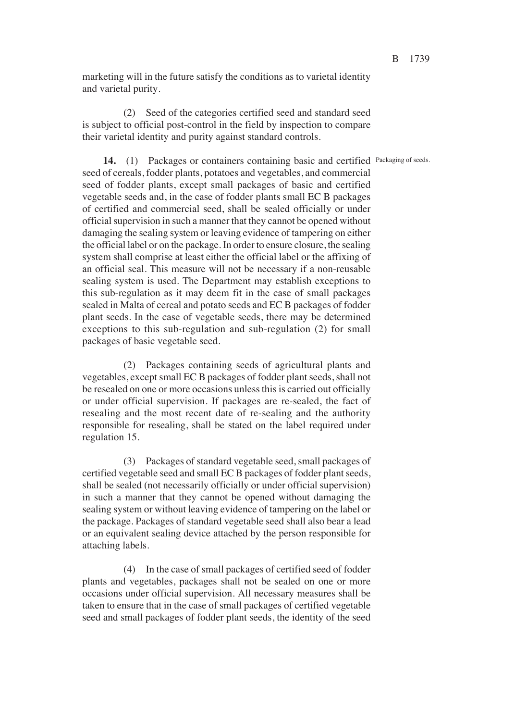marketing will in the future satisfy the conditions as to varietal identity and varietal purity.

(2) Seed of the categories certified seed and standard seed is subject to official post-control in the field by inspection to compare their varietal identity and purity against standard controls.

14. (1) Packages or containers containing basic and certified Packaging of seeds. seed of cereals, fodder plants, potatoes and vegetables, and commercial seed of fodder plants, except small packages of basic and certified vegetable seeds and, in the case of fodder plants small EC B packages of certified and commercial seed, shall be sealed officially or under official supervision in such a manner that they cannot be opened without damaging the sealing system or leaving evidence of tampering on either the official label or on the package. In order to ensure closure, the sealing system shall comprise at least either the official label or the affixing of an official seal. This measure will not be necessary if a non-reusable sealing system is used. The Department may establish exceptions to this sub-regulation as it may deem fit in the case of small packages sealed in Malta of cereal and potato seeds and EC B packages of fodder plant seeds. In the case of vegetable seeds, there may be determined exceptions to this sub-regulation and sub-regulation (2) for small packages of basic vegetable seed.

(2) Packages containing seeds of agricultural plants and vegetables, except small EC B packages of fodder plant seeds, shall not be resealed on one or more occasions unless this is carried out officially or under official supervision. If packages are re-sealed, the fact of resealing and the most recent date of re-sealing and the authority responsible for resealing, shall be stated on the label required under regulation 15.

(3) Packages of standard vegetable seed, small packages of certified vegetable seed and small EC B packages of fodder plant seeds, shall be sealed (not necessarily officially or under official supervision) in such a manner that they cannot be opened without damaging the sealing system or without leaving evidence of tampering on the label or the package. Packages of standard vegetable seed shall also bear a lead or an equivalent sealing device attached by the person responsible for attaching labels.

(4) In the case of small packages of certified seed of fodder plants and vegetables, packages shall not be sealed on one or more occasions under official supervision. All necessary measures shall be taken to ensure that in the case of small packages of certified vegetable seed and small packages of fodder plant seeds, the identity of the seed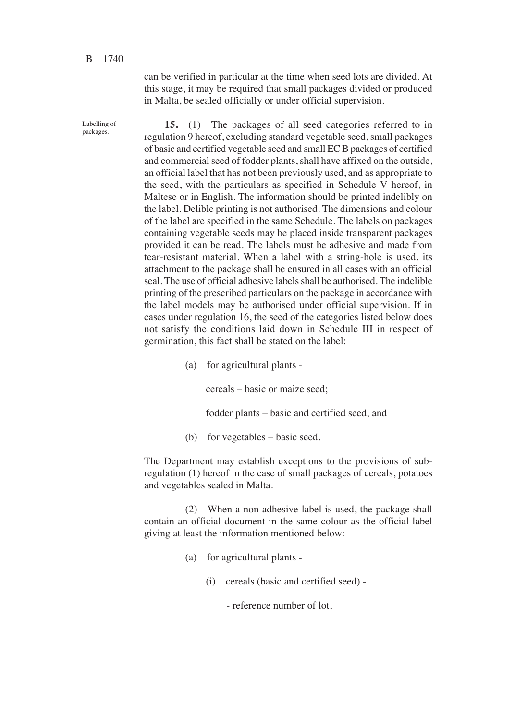Labelling of packages.

can be verified in particular at the time when seed lots are divided. At this stage, it may be required that small packages divided or produced in Malta, be sealed officially or under official supervision.

**15.** (1) The packages of all seed categories referred to in regulation 9 hereof, excluding standard vegetable seed, small packages of basic and certified vegetable seed and small EC B packages of certified and commercial seed of fodder plants, shall have affixed on the outside, an official label that has not been previously used, and as appropriate to the seed, with the particulars as specified in Schedule V hereof, in Maltese or in English. The information should be printed indelibly on the label. Delible printing is not authorised. The dimensions and colour of the label are specified in the same Schedule. The labels on packages containing vegetable seeds may be placed inside transparent packages provided it can be read. The labels must be adhesive and made from tear-resistant material. When a label with a string-hole is used, its attachment to the package shall be ensured in all cases with an official seal. The use of official adhesive labels shall be authorised. The indelible printing of the prescribed particulars on the package in accordance with the label models may be authorised under official supervision. If in cases under regulation 16, the seed of the categories listed below does not satisfy the conditions laid down in Schedule III in respect of germination, this fact shall be stated on the label:

(a) for agricultural plants -

cereals – basic or maize seed<

fodder plants – basic and certified seed; and

(b) for vegetables – basic seed.

The Department may establish exceptions to the provisions of subregulation (1) hereof in the case of small packages of cereals, potatoes and vegetables sealed in Malta.

(2) When a non-adhesive label is used, the package shall contain an official document in the same colour as the official label giving at least the information mentioned below:

- (a) for agricultural plants
	- (i) cereals (basic and certified seed) -

- reference number of lot,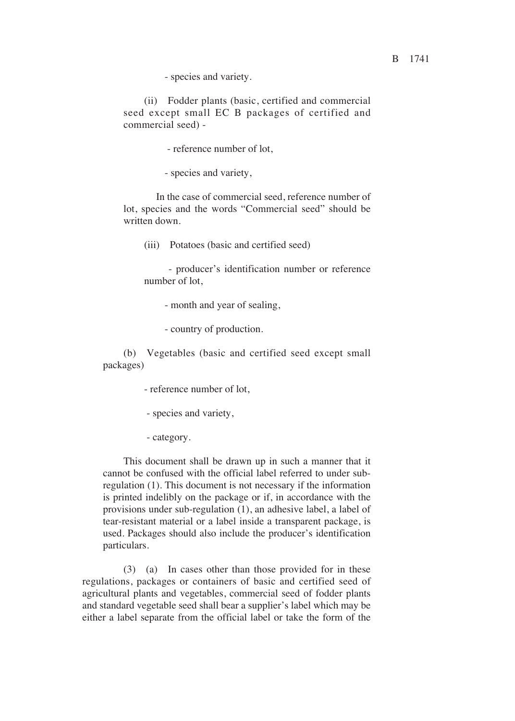- species and variety.

(ii) Fodder plants (basic, certified and commercial seed except small EC B packages of certified and commercial seed) -

- reference number of lot,

- species and variety,

In the case of commercial seed, reference number of lot, species and the words "Commercial seed" should be written down.

(iii) Potatoes (basic and certified seed)

- producer's identification number or reference number of lot,

- month and year of sealing,

- country of production.

(b) Vegetables (basic and certified seed except small packages)

- reference number of lot,

- species and variety,

- category.

This document shall be drawn up in such a manner that it cannot be confused with the official label referred to under subregulation (1). This document is not necessary if the information is printed indelibly on the package or if, in accordance with the provisions under sub-regulation (1), an adhesive label, a label of tear-resistant material or a label inside a transparent package, is used. Packages should also include the producer's identification particulars.

(3) (a) In cases other than those provided for in these regulations, packages or containers of basic and certified seed of agricultural plants and vegetables, commercial seed of fodder plants and standard vegetable seed shall bear a supplier's label which may be either a label separate from the official label or take the form of the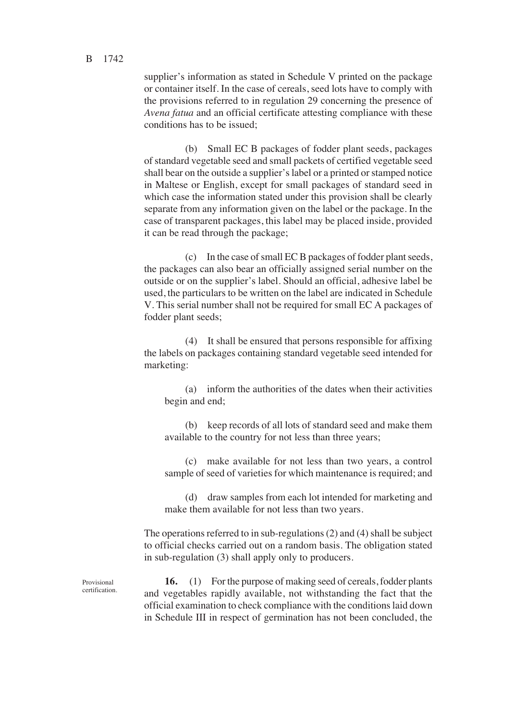supplier's information as stated in Schedule V printed on the package or container itself. In the case of cereals, seed lots have to comply with the provisions referred to in regulation 29 concerning the presence of *Avena fatua* and an official certificate attesting compliance with these conditions has to be issued<

(b) Small EC B packages of fodder plant seeds, packages of standard vegetable seed and small packets of certified vegetable seed shall bear on the outside a supplier's label or a printed or stamped notice in Maltese or English, except for small packages of standard seed in which case the information stated under this provision shall be clearly separate from any information given on the label or the package. In the case of transparent packages, this label may be placed inside, provided it can be read through the package<

(c) In the case of small EC B packages of fodder plant seeds, the packages can also bear an officially assigned serial number on the outside or on the supplier's label. Should an official, adhesive label be used, the particulars to be written on the label are indicated in Schedule V. This serial number shall not be required for small EC A packages of fodder plant seeds<

(4) It shall be ensured that persons responsible for affixing the labels on packages containing standard vegetable seed intended for marketing:

(a) inform the authorities of the dates when their activities begin and end<

(b) keep records of all lots of standard seed and make them available to the country for not less than three years<

(c) make available for not less than two years, a control sample of seed of varieties for which maintenance is required; and

(d) draw samples from each lot intended for marketing and make them available for not less than two years.

The operations referred to in sub-regulations (2) and (4) shall be subject to official checks carried out on a random basis. The obligation stated in sub-regulation (3) shall apply only to producers.

**16.** (1) For the purpose of making seed of cereals, fodder plants and vegetables rapidly available, not withstanding the fact that the official examination to check compliance with the conditions laid down in Schedule III in respect of germination has not been concluded, the

Provisional certification.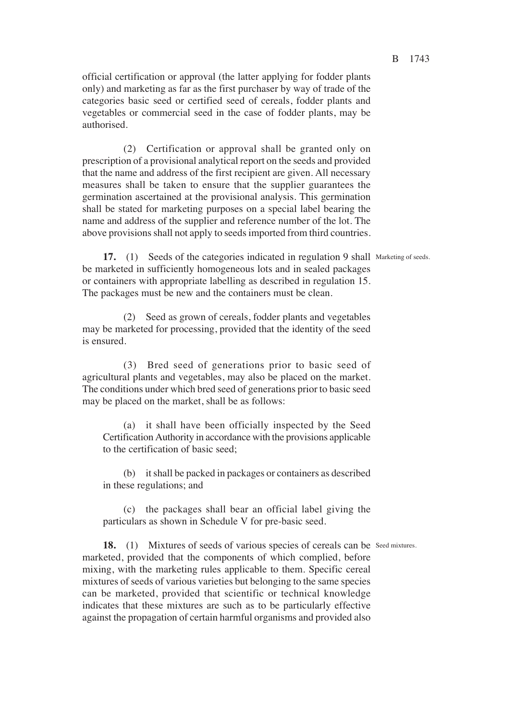official certification or approval (the latter applying for fodder plants only) and marketing as far as the first purchaser by way of trade of the categories basic seed or certified seed of cereals, fodder plants and vegetables or commercial seed in the case of fodder plants, may be authorised.

(2) Certification or approval shall be granted only on prescription of a provisional analytical report on the seeds and provided that the name and address of the first recipient are given. All necessary measures shall be taken to ensure that the supplier guarantees the germination ascertained at the provisional analysis. This germination shall be stated for marketing purposes on a special label bearing the name and address of the supplier and reference number of the lot. The above provisions shall not apply to seeds imported from third countries.

17. (1) Seeds of the categories indicated in regulation 9 shall Marketing of seeds. be marketed in sufficiently homogeneous lots and in sealed packages or containers with appropriate labelling as described in regulation 15. The packages must be new and the containers must be clean.

(2) Seed as grown of cereals, fodder plants and vegetables may be marketed for processing, provided that the identity of the seed is ensured.

(3) Bred seed of generations prior to basic seed of agricultural plants and vegetables, may also be placed on the market. The conditions under which bred seed of generations prior to basic seed may be placed on the market, shall be as follows:

(a) it shall have been officially inspected by the Seed Certification Authority in accordance with the provisions applicable to the certification of basic seed<

(b) it shall be packed in packages or containers as described in these regulations< and

(c) the packages shall bear an official label giving the particulars as shown in Schedule V for pre-basic seed.

18. (1) Mixtures of seeds of various species of cereals can be Seed mixtures. marketed, provided that the components of which complied, before mixing, with the marketing rules applicable to them. Specific cereal mixtures of seeds of various varieties but belonging to the same species can be marketed, provided that scientific or technical knowledge indicates that these mixtures are such as to be particularly effective against the propagation of certain harmful organisms and provided also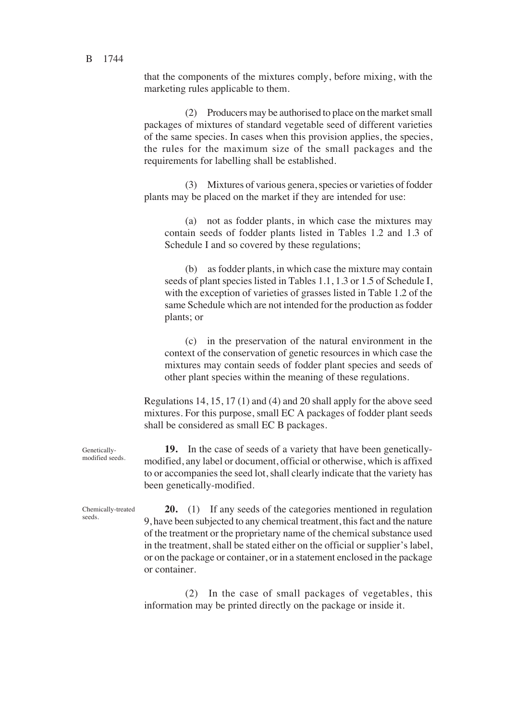that the components of the mixtures comply, before mixing, with the marketing rules applicable to them.

(2) Producers may be authorised to place on the market small packages of mixtures of standard vegetable seed of different varieties of the same species. In cases when this provision applies, the species, the rules for the maximum size of the small packages and the requirements for labelling shall be established.

(3) Mixtures of various genera, species or varieties of fodder plants may be placed on the market if they are intended for use:

(a) not as fodder plants, in which case the mixtures may contain seeds of fodder plants listed in Tables 1.2 and 1.3 of Schedule I and so covered by these regulations;

(b) as fodder plants, in which case the mixture may contain seeds of plant species listed in Tables 1.1, 1.3 or 1.5 of Schedule I, with the exception of varieties of grasses listed in Table 1.2 of the same Schedule which are not intended for the production as fodder plants< or

(c) in the preservation of the natural environment in the context of the conservation of genetic resources in which case the mixtures may contain seeds of fodder plant species and seeds of other plant species within the meaning of these regulations.

Regulations 14, 15, 17 (1) and (4) and 20 shall apply for the above seed mixtures. For this purpose, small EC A packages of fodder plant seeds shall be considered as small EC B packages.

**19.** In the case of seeds of a variety that have been geneticallymodified, any label or document, official or otherwise, which is affixed to or accompanies the seed lot, shall clearly indicate that the variety has been genetically-modified.

**20.** (1) If any seeds of the categories mentioned in regulation 9, have been subjected to any chemical treatment, this fact and the nature of the treatment or the proprietary name of the chemical substance used in the treatment, shall be stated either on the official or supplier's label, or on the package or container, or in a statement enclosed in the package or container.

(2) In the case of small packages of vegetables, this information may be printed directly on the package or inside it.

Geneticallymodified seeds.

Chemically-treated seeds.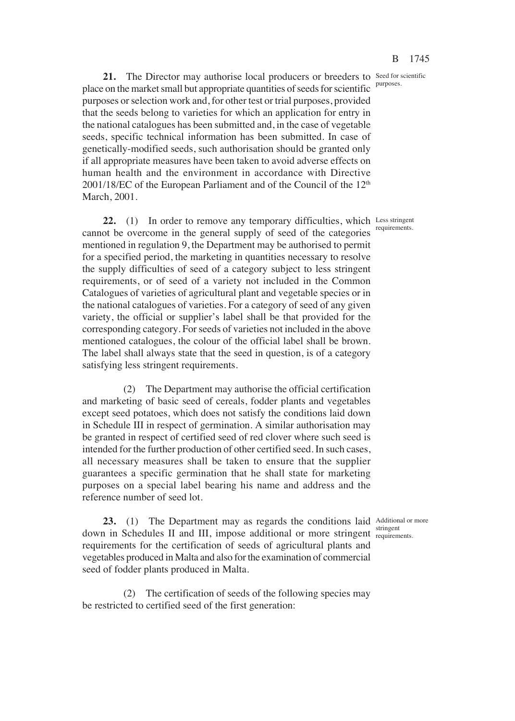purposes.

21. The Director may authorise local producers or breeders to Seed for scientific place on the market small but appropriate quantities of seeds for scientific purposes or selection work and, for other test or trial purposes, provided that the seeds belong to varieties for which an application for entry in the national catalogues has been submitted and, in the case of vegetable seeds, specific technical information has been submitted. In case of genetically-modified seeds, such authorisation should be granted only if all appropriate measures have been taken to avoid adverse effects on human health and the environment in accordance with Directive  $2001/18$ /EC of the European Parliament and of the Council of the  $12<sup>th</sup>$ March, 2001.

22. (1) In order to remove any temporary difficulties, which Less stringent cannot be overcome in the general supply of seed of the categories mentioned in regulation 9, the Department may be authorised to permit for a specified period, the marketing in quantities necessary to resolve the supply difficulties of seed of a category subject to less stringent requirements, or of seed of a variety not included in the Common Catalogues of varieties of agricultural plant and vegetable species or in the national catalogues of varieties. For a category of seed of any given variety, the official or supplier's label shall be that provided for the corresponding category. For seeds of varieties not included in the above mentioned catalogues, the colour of the official label shall be brown. The label shall always state that the seed in question, is of a category satisfying less stringent requirements.

(2) The Department may authorise the official certification and marketing of basic seed of cereals, fodder plants and vegetables except seed potatoes, which does not satisfy the conditions laid down in Schedule III in respect of germination. A similar authorisation may be granted in respect of certified seed of red clover where such seed is intended for the further production of other certified seed. In such cases, all necessary measures shall be taken to ensure that the supplier guarantees a specific germination that he shall state for marketing purposes on a special label bearing his name and address and the reference number of seed lot.

23. (1) The Department may as regards the conditions laid Additional or more down in Schedules II and III, impose additional or more stringent requirem requirements for the certification of seeds of agricultural plants and vegetables produced in Malta and also for the examination of commercial seed of fodder plants produced in Malta.

(2) The certification of seeds of the following species may be restricted to certified seed of the first generation:

requirements.

requirements.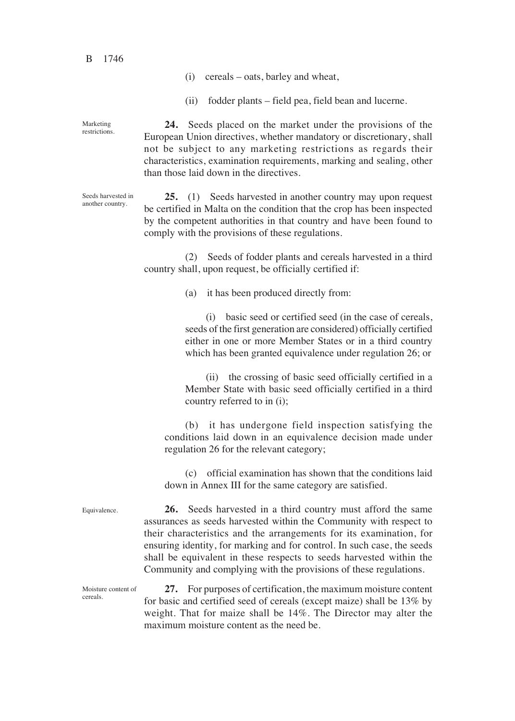B 1746

Seeds harvested in another country.

- (i) cereals oats, barley and wheat,
- (ii) fodder plants field pea, field bean and lucerne.

**24.** Seeds placed on the market under the provisions of the European Union directives, whether mandatory or discretionary, shall not be subject to any marketing restrictions as regards their characteristics, examination requirements, marking and sealing, other than those laid down in the directives. Marketing restrictions.

> **25.** (1) Seeds harvested in another country may upon request be certified in Malta on the condition that the crop has been inspected by the competent authorities in that country and have been found to comply with the provisions of these regulations.

> (2) Seeds of fodder plants and cereals harvested in a third country shall, upon request, be officially certified if:

> > $(a)$  it has been produced directly from:

(i) basic seed or certified seed (in the case of cereals, seeds of the first generation are considered) officially certified either in one or more Member States or in a third country which has been granted equivalence under regulation 26; or

(ii) the crossing of basic seed officially certified in a Member State with basic seed officially certified in a third country referred to in (i)<

(b) it has undergone field inspection satisfying the conditions laid down in an equivalence decision made under regulation 26 for the relevant category<

(c) official examination has shown that the conditions laid down in Annex III for the same category are satisfied.

Equivalence.

**26.** Seeds harvested in a third country must afford the same assurances as seeds harvested within the Community with respect to their characteristics and the arrangements for its examination, for ensuring identity, for marking and for control. In such case, the seeds shall be equivalent in these respects to seeds harvested within the Community and complying with the provisions of these regulations.

Moisture content of cereals.

**27.** For purposes of certification, the maximum moisture content for basic and certified seed of cereals (except maize) shall be 13% by weight. That for maize shall be 14%. The Director may alter the maximum moisture content as the need be.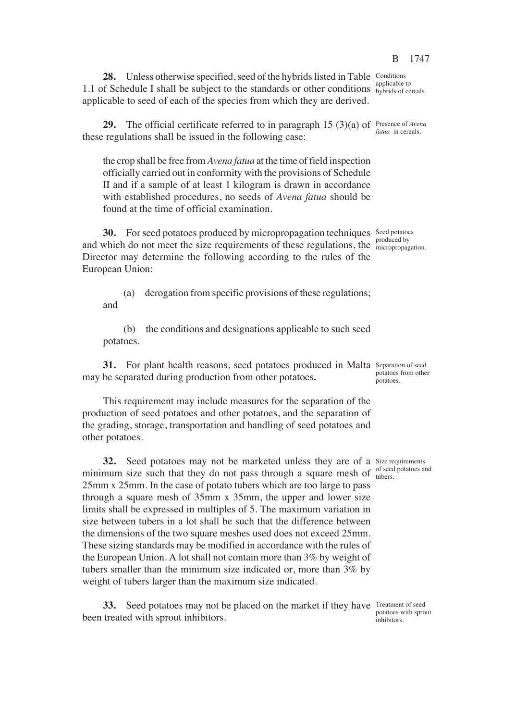**28.** Unless otherwise specified, seed of the hybrids listed in Table Conditions 1.1 of Schedule I shall be subject to the standards or other conditions **applicable** to applicable to seed of each of the species from which they are derived.

**29.** The official certificate referred to in paragraph 15 (3)(a) of Presence of *Avena* these regulations shall be issued in the following case:

the crop shall be free from *Avena fatua* at the time of field inspection officially carried out in conformity with the provisions of Schedule II and if a sample of at least 1 kilogram is drawn in accordance with established procedures, no seeds of *Avena fatua* should be found at the time of official examination.

**30.** For seed potatoes produced by micropropagation techniques Seed potatoes and which do not meet the size requirements of these regulations, the  $\frac{1}{\text{micropropag}}$ Director may determine the following according to the rules of the European Union:

(a) derogation from specific provisions of these regulations< and

(b) the conditions and designations applicable to such seed potatoes.

**31.** For plant health reasons, seed potatoes produced in Malta Separation of seed may be separated during production from other potatoes**.**

This requirement may include measures for the separation of the production of seed potatoes and other potatoes, and the separation of the grading, storage, transportation and handling of seed potatoes and other potatoes.

**32.** Seed potatoes may not be marketed unless they are of a Size requirements minimum size such that they do not pass through a square mesh of  $\frac{\text{of seed potatoes and}}{\text{tubers}}$ 25mm x 25mm. In the case of potato tubers which are too large to pass through a square mesh of 35mm x 35mm, the upper and lower size limits shall be expressed in multiples of 5. The maximum variation in size between tubers in a lot shall be such that the difference between the dimensions of the two square meshes used does not exceed 25mm. These sizing standards may be modified in accordance with the rules of the European Union. A lot shall not contain more than 3% by weight of tubers smaller than the minimum size indicated or, more than 3% by weight of tubers larger than the maximum size indicated.

**33.** Seed potatoes may not be placed on the market if they have Treatment of seed been treated with sprout inhibitors.

hybrids of cereals.

*fatua* in cereals.

micropropagation.

potatoes from other potatoes.

tubers.

potatoes with sprout inhibitors.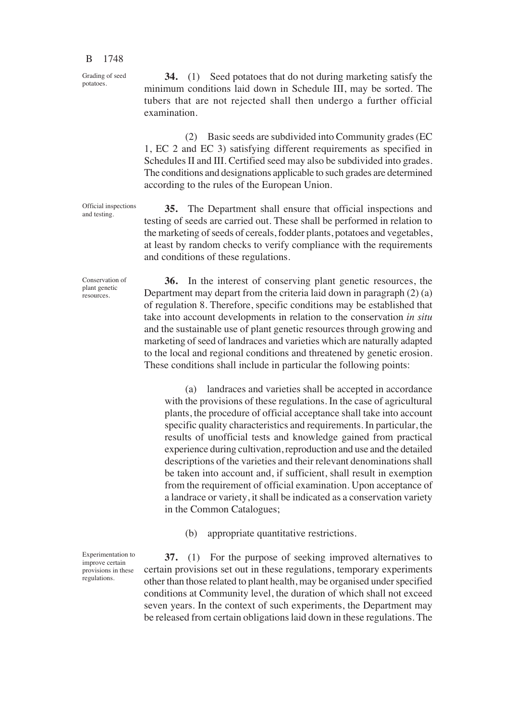Grading of seed potatoes.

examination.

Official inspections and testing.

Conservation of plant genetic resources.

**36.** In the interest of conserving plant genetic resources, the Department may depart from the criteria laid down in paragraph (2) (a) of regulation 8. Therefore, specific conditions may be established that take into account developments in relation to the conservation *in situ* and the sustainable use of plant genetic resources through growing and marketing of seed of landraces and varieties which are naturally adapted to the local and regional conditions and threatened by genetic erosion. These conditions shall include in particular the following points:

**34.** (1) Seed potatoes that do not during marketing satisfy the minimum conditions laid down in Schedule III, may be sorted. The tubers that are not rejected shall then undergo a further official

(2) Basic seeds are subdivided into Community grades (EC

1, EC 2 and EC 3) satisfying different requirements as specified in Schedules II and III. Certified seed may also be subdivided into grades. The conditions and designations applicable to such grades are determined

**35.** The Department shall ensure that official inspections and testing of seeds are carried out. These shall be performed in relation to the marketing of seeds of cereals, fodder plants, potatoes and vegetables, at least by random checks to verify compliance with the requirements

according to the rules of the European Union.

and conditions of these regulations.

(a) landraces and varieties shall be accepted in accordance with the provisions of these regulations. In the case of agricultural plants, the procedure of official acceptance shall take into account specific quality characteristics and requirements. In particular, the results of unofficial tests and knowledge gained from practical experience during cultivation, reproduction and use and the detailed descriptions of the varieties and their relevant denominations shall be taken into account and, if sufficient, shall result in exemption from the requirement of official examination. Upon acceptance of a landrace or variety, it shall be indicated as a conservation variety in the Common Catalogues<

(b) appropriate quantitative restrictions.

**37.** (1) For the purpose of seeking improved alternatives to certain provisions set out in these regulations, temporary experiments other than those related to plant health, may be organised under specified conditions at Community level, the duration of which shall not exceed seven years. In the context of such experiments, the Department may be released from certain obligations laid down in these regulations. The

Experimentation to improve certain provisions in these regulations.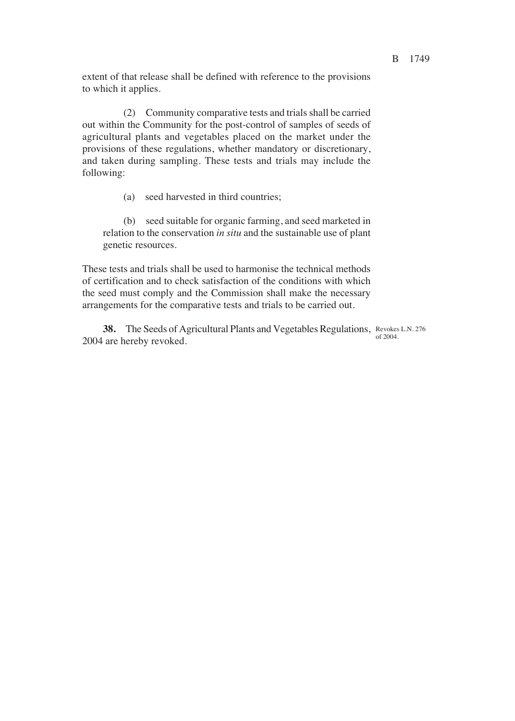extent of that release shall be defined with reference to the provisions to which it applies.

(2) Community comparative tests and trials shall be carried out within the Community for the post-control of samples of seeds of agricultural plants and vegetables placed on the market under the provisions of these regulations, whether mandatory or discretionary, and taken during sampling. These tests and trials may include the following:

(a) seed harvested in third countries<

(b) seed suitable for organic farming, and seed marketed in relation to the conservation *in situ* and the sustainable use of plant genetic resources.

These tests and trials shall be used to harmonise the technical methods of certification and to check satisfaction of the conditions with which the seed must comply and the Commission shall make the necessary arrangements for the comparative tests and trials to be carried out.

**38.** The Seeds of Agricultural Plants and Vegetables Regulations, Revokes L.N. 276 2004 are hereby revoked. of 2004.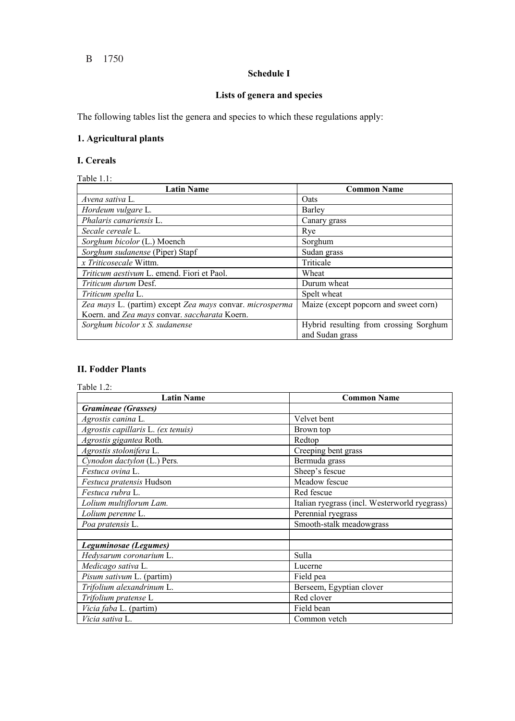#### B 1750

# **Schedule I**

# **Lists of genera and species**

The following tables list the genera and species to which these regulations apply:

# **1. Agricultural plants**

### **I. Cereals**

Table 1.1:

| <b>Latin Name</b>                                        | <b>Common Name</b>                                        |
|----------------------------------------------------------|-----------------------------------------------------------|
| Avena sativa L.                                          | <b>O</b> ats                                              |
| Hordeum vulgare L.                                       | Barley                                                    |
| Phalaris canariensis L.                                  | Canary grass                                              |
| Secale cereale L.                                        | Rye                                                       |
| Sorghum bicolor (L.) Moench                              | Sorghum                                                   |
| Sorghum sudanense (Piper) Stapf                          | Sudan grass                                               |
| x Triticosecale Wittm.                                   | Triticale                                                 |
| Triticum aestivum L. emend. Fiori et Paol.               | Wheat                                                     |
| <i>Triticum durum Desf.</i>                              | Durum wheat                                               |
| Triticum spelta L.                                       | Spelt wheat                                               |
| Zea mays L. (partim) except Zea mays convar. microsperma | Maize (except popcorn and sweet corn)                     |
| Koern. and Zea mays convar. saccharata Koern.            |                                                           |
| Sorghum bicolor x S. sudanense                           | Hybrid resulting from crossing Sorghum<br>and Sudan grass |

### **II. Fodder Plants**

Table 1.2:

| <b>Latin Name</b>                  | <b>Common Name</b>                            |
|------------------------------------|-----------------------------------------------|
| <b>Gramineae</b> (Grasses)         |                                               |
| Agrostis canina L.                 | Velvet bent                                   |
| Agrostis capillaris L. (ex tenuis) | Brown top                                     |
| Agrostis gigantea Roth.            | Redtop                                        |
| Agrostis stolonifera L.            | Creeping bent grass                           |
| Cynodon dactylon (L.) Pers.        | Bermuda grass                                 |
| Festuca ovina L.                   | Sheep's fescue                                |
| Festuca pratensis Hudson           | Meadow fescue                                 |
| Festuca rubra L.                   | Red fescue                                    |
| Lolium multiflorum Lam.            | Italian ryegrass (incl. Westerworld ryegrass) |
| Lolium perenne L.                  | Perennial ryegrass                            |
| Poa pratensis L.                   | Smooth-stalk meadowgrass                      |
|                                    |                                               |
| Leguminosae (Legumes)              |                                               |
| Hedysarum coronarium L.            | Sulla                                         |
| Medicago sativa L.                 | Lucerne                                       |
| Pisum sativum L. (partim)          | Field pea                                     |
| Trifolium alexandrinum L.          | Berseem, Egyptian clover                      |
| Trifolium pratense L               | Red clover                                    |
| Vicia faba L. (partim)             | Field bean                                    |
| Vicia sativa L.                    | Common vetch                                  |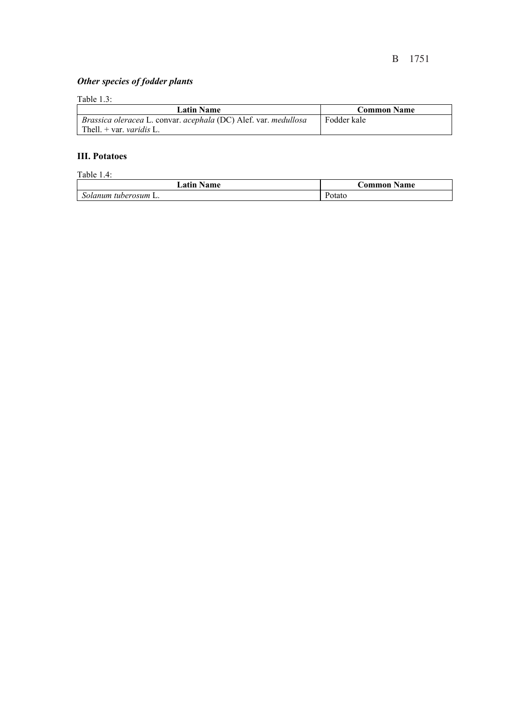# *Other species of fodder plants*

## Table 1.3:

| <b>Latin Name</b>                                               | <b>Common Name</b> |
|-----------------------------------------------------------------|--------------------|
| Brassica oleracea L. convar. acephala (DC) Alef. var. medullosa | Fodder kale        |
| Thell. $+$ var. <i>varidis</i> L.                               |                    |

#### **III. Potatoes**

| Table $1.4$ :        |                    |
|----------------------|--------------------|
| <b>Latin Name</b>    | <b>Common Name</b> |
| Solanum tuberosum L. | Potato             |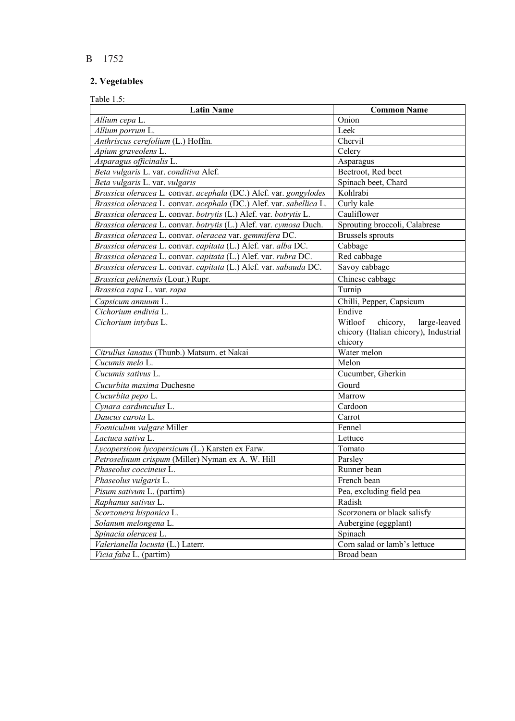# **2. Vegetables**

| <b>Latin Name</b>                                                   | <b>Common Name</b>                    |
|---------------------------------------------------------------------|---------------------------------------|
| Allium cepa L.                                                      | Onion                                 |
| Allium porrum L.                                                    | Leek                                  |
| Anthriscus cerefolium (L.) Hoffm.                                   | Chervil                               |
| Apium graveolens L.                                                 | Celery                                |
| Asparagus officinalis L.                                            | Asparagus                             |
| Beta vulgaris L. var. conditiva Alef.                               | Beetroot, Red beet                    |
| Beta vulgaris L. var. vulgaris                                      | Spinach beet, Chard                   |
| Brassica oleracea L. convar. acephala (DC.) Alef. var. gongylodes   | Kohlrabi                              |
| Brassica oleracea L. convar. acephala (DC.) Alef. var. sabellica L. | Curly kale                            |
| Brassica oleracea L. convar. botrytis (L.) Alef. var. botrytis L.   | Cauliflower                           |
| Brassica oleracea L. convar. botrytis (L.) Alef. var. cymosa Duch.  | Sprouting broccoli, Calabrese         |
| Brassica oleracea L. convar. oleracea var. gemmifera DC.            | <b>Brussels</b> sprouts               |
| Brassica oleracea L. convar. capitata (L.) Alef. var. alba DC.      | Cabbage                               |
| Brassica oleracea L. convar. capitata (L.) Alef. var. rubra DC.     | Red cabbage                           |
| Brassica oleracea L. convar. capitata (L.) Alef. var. sabauda DC.   | Savoy cabbage                         |
| Brassica pekinensis (Lour.) Rupr.                                   | Chinese cabbage                       |
| Brassica rapa L. var. rapa                                          | Turnip                                |
| Capsicum annuum L.                                                  | Chilli, Pepper, Capsicum              |
| Cichorium endivia L.                                                | Endive                                |
| Cichorium intybus L.                                                | chicory,<br>Witloof<br>large-leaved   |
|                                                                     | chicory (Italian chicory), Industrial |
|                                                                     | chicory                               |
| Citrullus lanatus (Thunb.) Matsum. et Nakai                         | Water melon                           |
| Cucumis melo L.                                                     | Melon                                 |
| Cucumis sativus L.                                                  | Cucumber, Gherkin                     |
| Cucurbita maxima Duchesne                                           | Gourd                                 |
| Cucurbita pepo L.                                                   | Marrow                                |
| Cynara cardunculus L.                                               | Cardoon                               |
| Daucus carota L.                                                    | Carrot                                |
| Foeniculum vulgare Miller                                           | Fennel                                |
| Lactuca sativa L.                                                   | Lettuce                               |
| Lycopersicon lycopersicum (L.) Karsten ex Farw.                     | Tomato                                |
| Petroselinum crispum (Miller) Nyman ex A. W. Hill                   | Parsley                               |
| Phaseolus coccineus L.                                              | Runner bean                           |
| Phaseolus vulgaris L.                                               | French bean                           |
| <i>Pisum sativum L.</i> (partim)                                    | Pea, excluding field pea              |
| Raphanus sativus L.                                                 | Radish                                |
| Scorzonera hispanica L.                                             | Scorzonera or black salisfy           |
| Solanum melongena L.                                                | Aubergine (eggplant)                  |
| Spinacia oleracea L.                                                | Spinach                               |
| Valerianella locusta (L.) Laterr.                                   | Corn salad or lamb's lettuce          |
| Vicia faba L. (partim)                                              | Broad bean                            |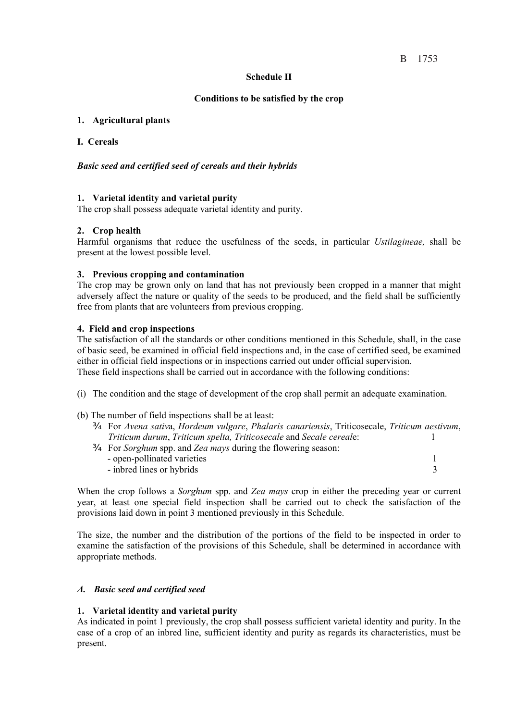#### **Schedule II**

#### **Conditions to be satisfied by the crop**

#### **1. Agricultural plants**

#### **I. Cereals**

#### *Basic seed and certified seed of cereals and their hybrids*

## **1. Varietal identity and varietal purity**

The crop shall possess adequate varietal identity and purity.

#### **2. Crop health**

Harmful organisms that reduce the usefulness of the seeds, in particular *Ustilagineae,* shall be present at the lowest possible level.

#### **3. Previous cropping and contamination**

The crop may be grown only on land that has not previously been cropped in a manner that might adversely affect the nature or quality of the seeds to be produced, and the field shall be sufficiently free from plants that are volunteers from previous cropping.

#### **4. Field and crop inspections**

The satisfaction of all the standards or other conditions mentioned in this Schedule, shall, in the case of basic seed, be examined in official field inspections and, in the case of certified seed, be examined either in official field inspections or in inspections carried out under official supervision. These field inspections shall be carried out in accordance with the following conditions:

(i) The condition and the stage of development of the crop shall permit an adequate examination.

- (b) The number of field inspections shall be at least:
	- ¾ For *Avena sativ*a, *Hordeum vulgare*, *Phalaris canariensis*, Triticosecale, *Triticum aestivum*, *Triticum durum*, *Triticum spelta, Triticosecale* and *Secale cereal*e: 1
	- ¾ For *Sorghum* spp. and *Zea mays* during the flowering season: - open-pollinated varieties 1 - indeed lines or hybrids 3

When the crop follows a *Sorghum* spp. and *Zea mays* crop in either the preceding year or current year, at least one special field inspection shall be carried out to check the satisfaction of the provisions laid down in point 3 mentioned previously in this Schedule.

The size, the number and the distribution of the portions of the field to be inspected in order to examine the satisfaction of the provisions of this Schedule, shall be determined in accordance with appropriate methods.

#### *A. Basic seed and certified seed*

#### **1. Varietal identity and varietal purity**

As indicated in point 1 previously, the crop shall possess sufficient varietal identity and purity. In the case of a crop of an inbred line, sufficient identity and purity as regards its characteristics, must be present.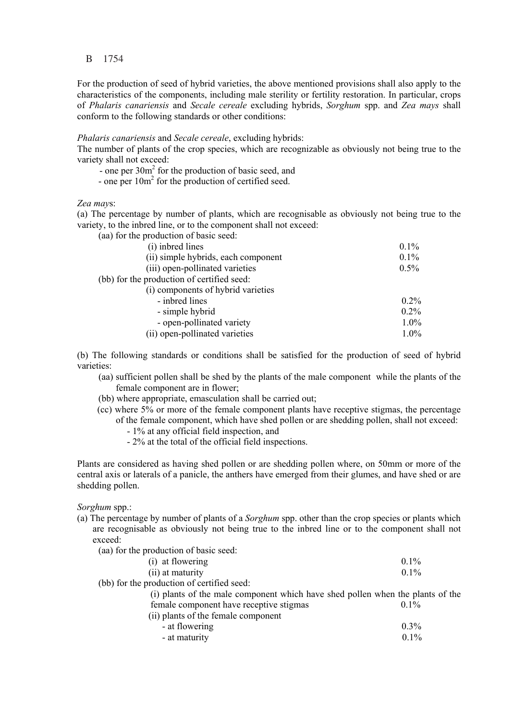For the production of seed of hybrid varieties, the above mentioned provisions shall also apply to the characteristics of the components, including male sterility or fertility restoration. In particular, crops of *Phalaris canariensis* and *Secale cereale* excluding hybrids, *Sorghum* spp. and *Zea mays* shall conform to the following standards or other conditions:

#### *Phalaris canariensis* and *Secale cereale*, excluding hybrids:

The number of plants of the crop species, which are recognizable as obviously not being true to the variety shall not exceed:

- one per 30m<sup>2</sup> for the production of basic seed, and
- one per  $10m^2$  for the production of certified seed.

#### *Zea may*s:

(a) The percentage by number of plants, which are recognisable as obviously not being true to the variety, to the inbred line, or to the component shall not exceed:

(aa) for the production of basic seed:

| (i) inbred lines                           | $0.1\%$ |
|--------------------------------------------|---------|
| (ii) simple hybrids, each component        | $0.1\%$ |
| (iii) open-pollinated varieties            | $0.5\%$ |
| (bb) for the production of certified seed: |         |
| (i) components of hybrid varieties         |         |
| - inbred lines                             | $0.2\%$ |
| - simple hybrid                            | $0.2\%$ |
| - open-pollinated variety                  | $1.0\%$ |
| (ii) open-pollinated varieties             | $1.0\%$ |

(b) The following standards or conditions shall be satisfied for the production of seed of hybrid varieties:

- (aa) sufficient pollen shall be shed by the plants of the male component while the plants of the female component are in flower;
- (bb) where appropriate, emasculation shall be carried out;
- (cc) where 5% or more of the female component plants have receptive stigmas, the percentage of the female component, which have shed pollen or are shedding pollen, shall not exceed:
	- 1% at any official field inspection, and
	- 2% at the total of the official field inspections.

Plants are considered as having shed pollen or are shedding pollen where, on 50mm or more of the central axis or laterals of a panicle, the anthers have emerged from their glumes, and have shed or are shedding pollen.

*Sorghum* spp.:

(a) The percentage by number of plants of a *Sorghum* spp. other than the crop species or plants which are recognisable as obviously not being true to the inbred line or to the component shall not exceed:

(aa) for the production of basic seed:

| $\mu$ and the production of basic securi-                                      |         |
|--------------------------------------------------------------------------------|---------|
| (i) at flowering                                                               | $0.1\%$ |
| (ii) at maturity                                                               | $0.1\%$ |
| (bb) for the production of certified seed:                                     |         |
| (i) plants of the male component which have shed pollen when the plants of the |         |
| female component have receptive stigmas                                        | $0.1\%$ |
| (ii) plants of the female component                                            |         |
| - at flowering                                                                 | $0.3\%$ |
| - at maturity                                                                  | 0.1%    |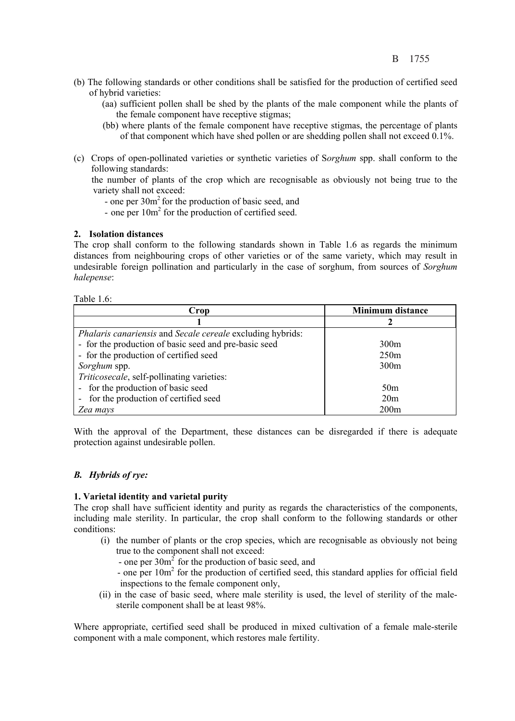- (b) The following standards or other conditions shall be satisfied for the production of certified seed of hybrid varieties:
	- (aa) sufficient pollen shall be shed by the plants of the male component while the plants of the female component have receptive stigmas;
	- (bb) where plants of the female component have receptive stigmas, the percentage of plants of that component which have shed pollen or are shedding pollen shall not exceed 0.1%.
- (c) Crops of open-pollinated varieties or synthetic varieties of S*orghum* spp. shall conform to the following standards:

 the number of plants of the crop which are recognisable as obviously not being true to the variety shall not exceed:

- one per 30m<sup>2</sup> for the production of basic seed, and
- one per  $10m^2$  for the production of certified seed.

## **2. Isolation distances**

The crop shall conform to the following standards shown in Table 1.6 as regards the minimum distances from neighbouring crops of other varieties or of the same variety, which may result in undesirable foreign pollination and particularly in the case of sorghum, from sources of *Sorghum halepense*:

Table 1.6:

| Crop                                                                     | <b>Minimum distance</b> |
|--------------------------------------------------------------------------|-------------------------|
|                                                                          |                         |
| <i>Phalaris canariensis</i> and <i>Secale cereale</i> excluding hybrids: |                         |
| - for the production of basic seed and pre-basic seed                    | 300m                    |
| - for the production of certified seed                                   | 250m                    |
| Sorghum spp.                                                             | 300m                    |
| Triticosecale, self-pollinating varieties:                               |                         |
| - for the production of basic seed                                       | 50 <sub>m</sub>         |
| - for the production of certified seed                                   | 20m                     |
| Zea mays                                                                 | 200 <sub>m</sub>        |

With the approval of the Department, these distances can be disregarded if there is adequate protection against undesirable pollen.

#### *B. Hybrids of rye:*

#### **1. Varietal identity and varietal purity**

The crop shall have sufficient identity and purity as regards the characteristics of the components, including male sterility. In particular, the crop shall conform to the following standards or other conditions:

- (i) the number of plants or the crop species, which are recognisable as obviously not being true to the component shall not exceed:
	- one per  $30m^2$  for the production of basic seed, and
- one per  $10m^2$  for the production of certified seed, this standard applies for official field inspections to the female component only,
- (ii) in the case of basic seed, where male sterility is used, the level of sterility of the malesterile component shall be at least 98%.

Where appropriate, certified seed shall be produced in mixed cultivation of a female male-sterile component with a male component, which restores male fertility.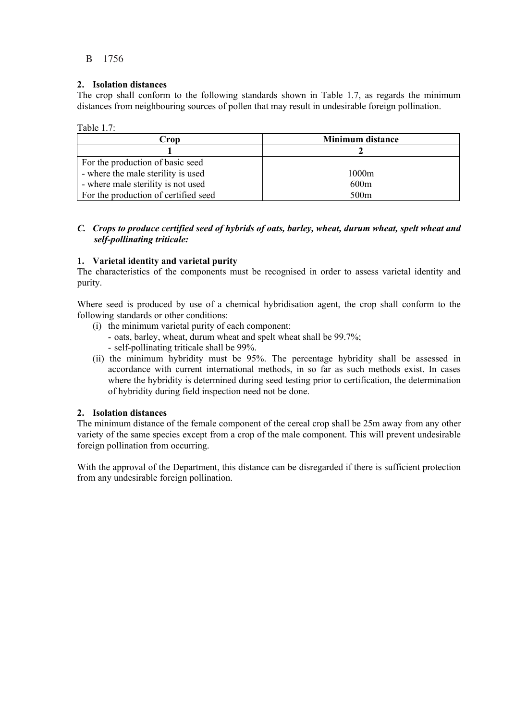## **2. Isolation distances**

The crop shall conform to the following standards shown in Table 1.7, as regards the minimum distances from neighbouring sources of pollen that may result in undesirable foreign pollination.

Table  $1.7$ 

| Crop                                 | Minimum distance |  |
|--------------------------------------|------------------|--|
|                                      |                  |  |
| For the production of basic seed     |                  |  |
| - where the male sterility is used   | 1000m            |  |
| - where male sterility is not used   | 600 <sub>m</sub> |  |
| For the production of certified seed | 500 <sub>m</sub> |  |

#### *C. Crops to produce certified seed of hybrids of oats, barley, wheat, durum wheat, spelt wheat and self-pollinating triticale:*

## **1. Varietal identity and varietal purity**

The characteristics of the components must be recognised in order to assess varietal identity and purity.

Where seed is produced by use of a chemical hybridisation agent, the crop shall conform to the following standards or other conditions:

- (i) the minimum varietal purity of each component:
	- oats, barley, wheat, durum wheat and spelt wheat shall be 99.7%; - self-pollinating triticale shall be 99%.
- (ii) the minimum hybridity must be 95%. The percentage hybridity shall be assessed in accordance with current international methods, in so far as such methods exist. In cases where the hybridity is determined during seed testing prior to certification, the determination of hybridity during field inspection need not be done.

#### **2. Isolation distances**

The minimum distance of the female component of the cereal crop shall be 25m away from any other variety of the same species except from a crop of the male component. This will prevent undesirable foreign pollination from occurring.

With the approval of the Department, this distance can be disregarded if there is sufficient protection from any undesirable foreign pollination.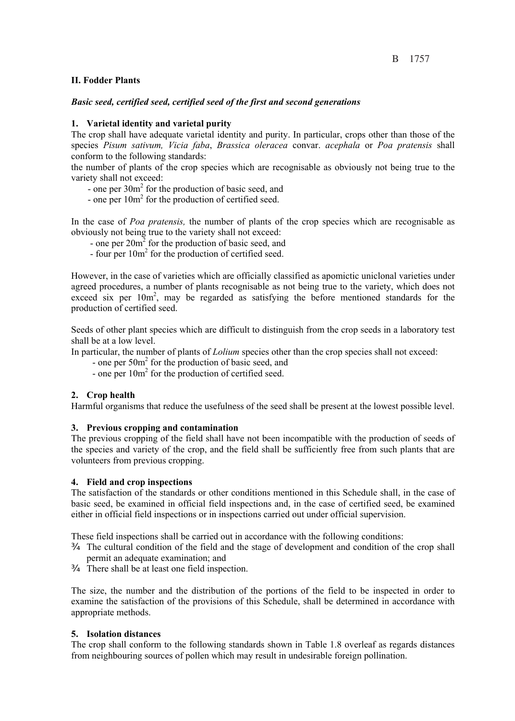## **II. Fodder Plants**

#### *Basic seed, certified seed, certified seed of the first and second generations*

### **1. Varietal identity and varietal purity**

The crop shall have adequate varietal identity and purity. In particular, crops other than those of the species *Pisum sativum, Vicia faba*, *Brassica oleracea* convar. *acephala* or *Poa pratensis* shall conform to the following standards:

the number of plants of the crop species which are recognisable as obviously not being true to the variety shall not exceed:

- one per  $30m<sup>2</sup>$  for the production of basic seed, and

- one per  $10m^2$  for the production of certified seed.

 In the case of *Poa pratensis,* the number of plants of the crop species which are recognisable as obviously not being true to the variety shall not exceed:

- one per  $20m^2$  for the production of basic seed, and
	- four per  $10m<sup>2</sup>$  for the production of certified seed.

However, in the case of varieties which are officially classified as apomictic uniclonal varieties under agreed procedures, a number of plants recognisable as not being true to the variety, which does not exceed six per  $10m^2$ , may be regarded as satisfying the before mentioned standards for the production of certified seed.

Seeds of other plant species which are difficult to distinguish from the crop seeds in a laboratory test shall be at a low level.

In particular, the number of plants of *Lolium* species other than the crop species shall not exceed:

- one per 50m<sup>2</sup> for the production of basic seed, and
- one per  $10m<sup>2</sup>$  for the production of certified seed.

#### **2. Crop health**

Harmful organisms that reduce the usefulness of the seed shall be present at the lowest possible level.

#### **3. Previous cropping and contamination**

The previous cropping of the field shall have not been incompatible with the production of seeds of the species and variety of the crop, and the field shall be sufficiently free from such plants that are volunteers from previous cropping.

#### **4. Field and crop inspections**

The satisfaction of the standards or other conditions mentioned in this Schedule shall, in the case of basic seed, be examined in official field inspections and, in the case of certified seed, be examined either in official field inspections or in inspections carried out under official supervision.

These field inspections shall be carried out in accordance with the following conditions:

- ¾ The cultural condition of the field and the stage of development and condition of the crop shall permit an adequate examination; and
- ¾ There shall be at least one field inspection.

The size, the number and the distribution of the portions of the field to be inspected in order to examine the satisfaction of the provisions of this Schedule, shall be determined in accordance with appropriate methods.

#### **5. Isolation distances**

The crop shall conform to the following standards shown in Table 1.8 overleaf as regards distances from neighbouring sources of pollen which may result in undesirable foreign pollination.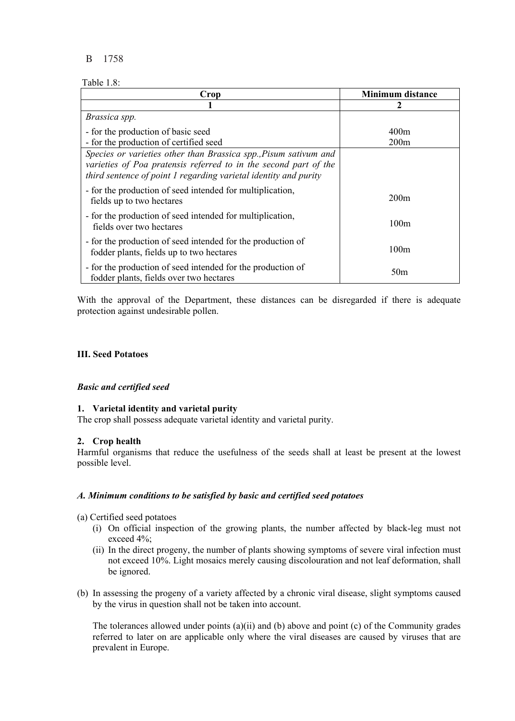## Table 1.8:

| Crop                                                                                                                                                                                                     | <b>Minimum distance</b> |
|----------------------------------------------------------------------------------------------------------------------------------------------------------------------------------------------------------|-------------------------|
|                                                                                                                                                                                                          |                         |
| Brassica spp.                                                                                                                                                                                            |                         |
| - for the production of basic seed                                                                                                                                                                       | 400m                    |
| - for the production of certified seed                                                                                                                                                                   | 200m                    |
| Species or varieties other than Brassica spp., Pisum sativum and<br>varieties of Poa pratensis referred to in the second part of the<br>third sentence of point 1 regarding varietal identity and purity |                         |
| - for the production of seed intended for multiplication,<br>fields up to two hectares                                                                                                                   | 200m                    |
| - for the production of seed intended for multiplication,<br>fields over two hectares                                                                                                                    | 100m                    |
| - for the production of seed intended for the production of<br>fodder plants, fields up to two hectares                                                                                                  | 100m                    |
| - for the production of seed intended for the production of<br>fodder plants, fields over two hectares                                                                                                   | 50 <sub>m</sub>         |

With the approval of the Department, these distances can be disregarded if there is adequate protection against undesirable pollen.

#### **III. Seed Potatoes**

#### *Basic and certified seed*

#### **1. Varietal identity and varietal purity**

The crop shall possess adequate varietal identity and varietal purity.

#### **2. Crop health**

Harmful organisms that reduce the usefulness of the seeds shall at least be present at the lowest possible level.

#### *A. Minimum conditions to be satisfied by basic and certified seed potatoes*

- (a) Certified seed potatoes
	- (i) On official inspection of the growing plants, the number affected by black-leg must not exceed 4%;
	- (ii) In the direct progeny, the number of plants showing symptoms of severe viral infection must not exceed 10%. Light mosaics merely causing discolouration and not leaf deformation, shall be ignored.
- (b) In assessing the progeny of a variety affected by a chronic viral disease, slight symptoms caused by the virus in question shall not be taken into account.

The tolerances allowed under points (a)(ii) and (b) above and point (c) of the Community grades referred to later on are applicable only where the viral diseases are caused by viruses that are prevalent in Europe.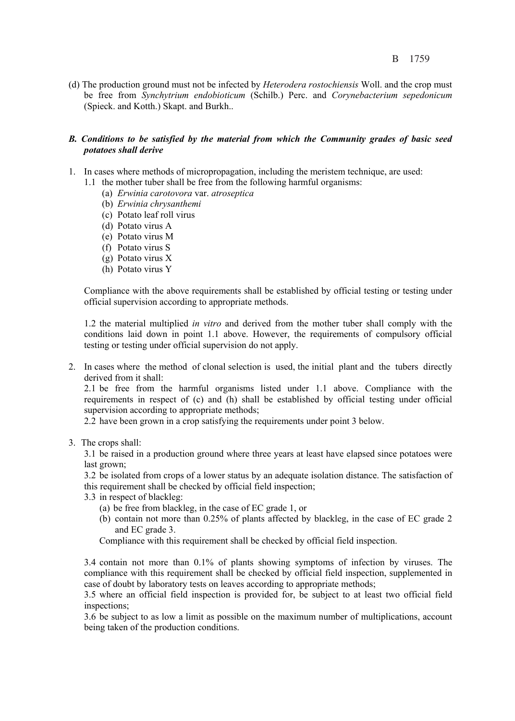(d) The production ground must not be infected by *Heterodera rostochiensis* Woll. and the crop must be free from *Synchytrium endobioticum* (Schilb.) Perc. and *Corynebacterium sepedonicum*  (Spieck. and Kotth.) Skapt. and Burkh..

#### *B. Conditions to be satisfied by the material from which the Community grades of basic seed potatoes shall derive*

- 1. In cases where methods of micropropagation, including the meristem technique, are used:
	- 1.1 the mother tuber shall be free from the following harmful organisms:
		- (a) *Erwinia carotovora* var. *atroseptica*
		- (b) *Erwinia chrysanthemi*
		- (c) Potato leaf roll virus
		- (d) Potato virus A
		- (e) Potato virus M
		- (f) Potato virus S
		- (g) Potato virus X
		- (h) Potato virus Y

Compliance with the above requirements shall be established by official testing or testing under official supervision according to appropriate methods.

1.2 the material multiplied *in vitro* and derived from the mother tuber shall comply with the conditions laid down in point 1.1 above. However, the requirements of compulsory official testing or testing under official supervision do not apply.

2. In cases where the method of clonal selection is used, the initial plant and the tubers directly derived from it shall:

2.1 be free from the harmful organisms listed under 1.1 above. Compliance with the requirements in respect of (c) and (h) shall be established by official testing under official supervision according to appropriate methods;

2.2 have been grown in a crop satisfying the requirements under point 3 below.

3. The crops shall:

3.1 be raised in a production ground where three years at least have elapsed since potatoes were last grown;

3.2 be isolated from crops of a lower status by an adequate isolation distance. The satisfaction of this requirement shall be checked by official field inspection;

- 3.3 in respect of blackleg:
	- (a) be free from blackleg, in the case of EC grade 1, or
	- (b) contain not more than 0.25% of plants affected by blackleg, in the case of EC grade 2 and EC grade 3.
	- Compliance with this requirement shall be checked by official field inspection.

3.4 contain not more than 0.1% of plants showing symptoms of infection by viruses. The compliance with this requirement shall be checked by official field inspection, supplemented in case of doubt by laboratory tests on leaves according to appropriate methods;

3.5 where an official field inspection is provided for, be subject to at least two official field inspections;

3.6 be subject to as low a limit as possible on the maximum number of multiplications, account being taken of the production conditions.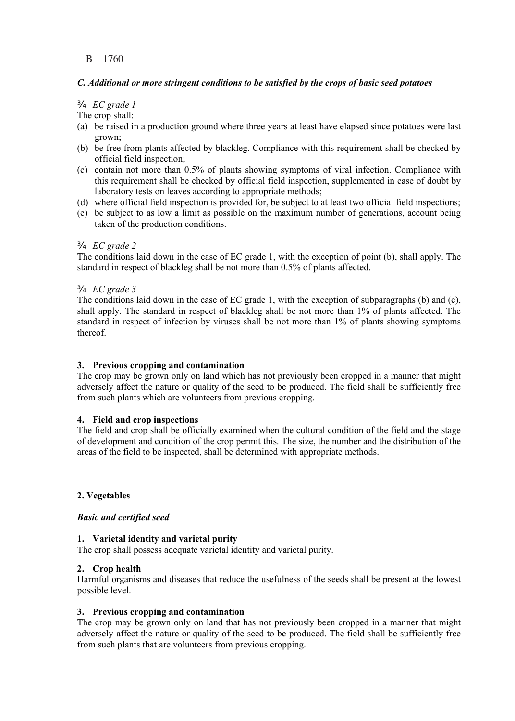## *C. Additional or more stringent conditions to be satisfied by the crops of basic seed potatoes*

## ¾ *EC grade 1*

The crop shall:

- (a) be raised in a production ground where three years at least have elapsed since potatoes were last grown;
- (b) be free from plants affected by blackleg. Compliance with this requirement shall be checked by official field inspection;
- (c) contain not more than 0.5% of plants showing symptoms of viral infection. Compliance with this requirement shall be checked by official field inspection, supplemented in case of doubt by laboratory tests on leaves according to appropriate methods;
- (d) where official field inspection is provided for, be subject to at least two official field inspections;
- (e) be subject to as low a limit as possible on the maximum number of generations, account being taken of the production conditions.

## ¾ *EC grade 2*

The conditions laid down in the case of EC grade 1, with the exception of point (b), shall apply. The standard in respect of blackleg shall be not more than 0.5% of plants affected.

## ¾ *EC grade 3*

The conditions laid down in the case of EC grade 1, with the exception of subparagraphs (b) and (c), shall apply. The standard in respect of blackleg shall be not more than 1% of plants affected. The standard in respect of infection by viruses shall be not more than 1% of plants showing symptoms thereof.

### **3. Previous cropping and contamination**

The crop may be grown only on land which has not previously been cropped in a manner that might adversely affect the nature or quality of the seed to be produced. The field shall be sufficiently free from such plants which are volunteers from previous cropping.

#### **4. Field and crop inspections**

The field and crop shall be officially examined when the cultural condition of the field and the stage of development and condition of the crop permit this. The size, the number and the distribution of the areas of the field to be inspected, shall be determined with appropriate methods.

#### **2. Vegetables**

#### *Basic and certified seed*

#### **1. Varietal identity and varietal purity**

The crop shall possess adequate varietal identity and varietal purity.

#### **2. Crop health**

Harmful organisms and diseases that reduce the usefulness of the seeds shall be present at the lowest possible level.

#### **3. Previous cropping and contamination**

The crop may be grown only on land that has not previously been cropped in a manner that might adversely affect the nature or quality of the seed to be produced. The field shall be sufficiently free from such plants that are volunteers from previous cropping.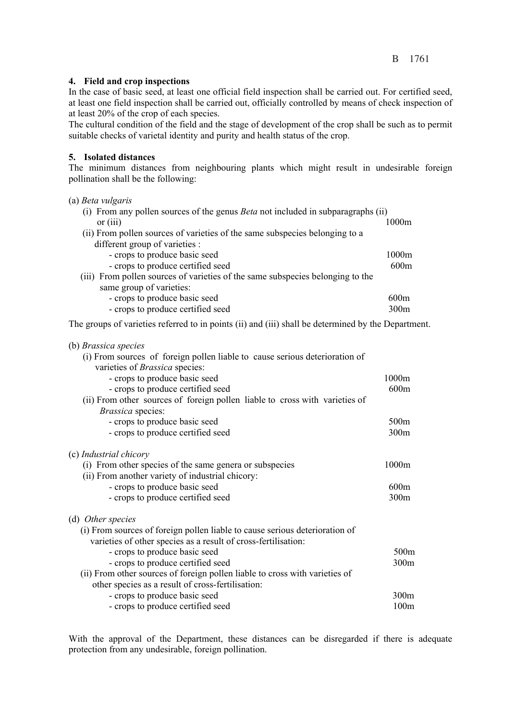## **4. Field and crop inspections**

In the case of basic seed, at least one official field inspection shall be carried out. For certified seed, at least one field inspection shall be carried out, officially controlled by means of check inspection of at least 20% of the crop of each species.

The cultural condition of the field and the stage of development of the crop shall be such as to permit suitable checks of varietal identity and purity and health status of the crop.

## **5. Isolated distances**

The minimum distances from neighbouring plants which might result in undesirable foreign pollination shall be the following:

## (a) *Beta vulgaris*

| (i) From any pollen sources of the genus Beta not included in subparagraphs (ii) |       |
|----------------------------------------------------------------------------------|-------|
| or $(iii)$                                                                       | 1000m |
| (ii) From pollen sources of varieties of the same subspecies belonging to a      |       |
| different group of varieties :                                                   |       |
| - crops to produce basic seed                                                    | 1000m |
| - crops to produce certified seed                                                | 600m  |
| (iii) From pollen sources of varieties of the same subspecies belonging to the   |       |
| same group of varieties:                                                         |       |
| - crops to produce basic seed                                                    | 600m  |
| - crops to produce certified seed                                                | 300m  |
|                                                                                  |       |

The groups of varieties referred to in points (ii) and (iii) shall be determined by the Department.

| (b) Brassica species                                                        |                  |
|-----------------------------------------------------------------------------|------------------|
| (i) From sources of foreign pollen liable to cause serious deterioration of |                  |
| varieties of <i>Brassica</i> species:                                       |                  |
| - crops to produce basic seed                                               | 1000m            |
| - crops to produce certified seed                                           | 600m             |
| (ii) From other sources of foreign pollen liable to cross with varieties of |                  |
| Brassica species:                                                           |                  |
| - crops to produce basic seed                                               | 500m             |
| - crops to produce certified seed                                           | 300m             |
|                                                                             |                  |
| (c) <i>Industrial chicory</i>                                               |                  |
| (i) From other species of the same genera or subspecies                     | 1000m            |
| (ii) From another variety of industrial chicory:                            |                  |
| - crops to produce basic seed                                               | 600m             |
| - crops to produce certified seed                                           | 300m             |
| (d) Other species                                                           |                  |
| (i) From sources of foreign pollen liable to cause serious deterioration of |                  |
| varieties of other species as a result of cross-fertilisation:              |                  |
| - crops to produce basic seed                                               | 500 <sub>m</sub> |
| - crops to produce certified seed                                           | 300m             |
| (ii) From other sources of foreign pollen liable to cross with varieties of |                  |
| other species as a result of cross-fertilisation:                           |                  |
| - crops to produce basic seed                                               | 300m             |
| - crops to produce certified seed                                           | 100m             |
|                                                                             |                  |

With the approval of the Department, these distances can be disregarded if there is adequate protection from any undesirable, foreign pollination.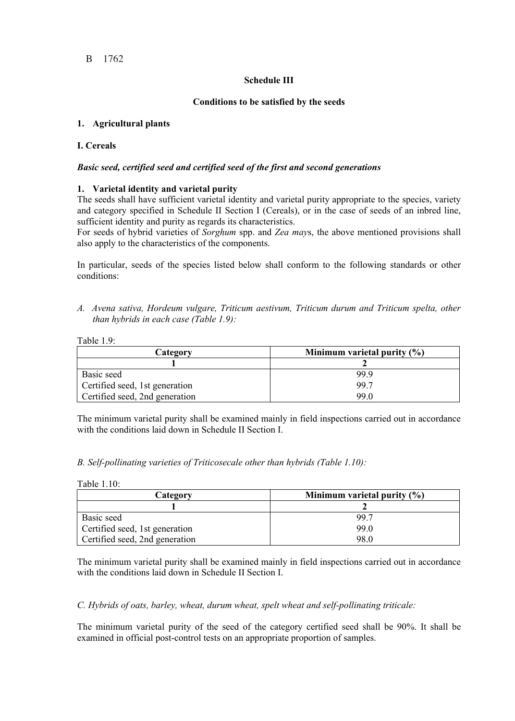## **Schedule III**

## **Conditions to be satisfied by the seeds**

## **1. Agricultural plants**

### **I. Cereals**

## *Basic seed, certified seed and certified seed of the first and second generations*

## **1. Varietal identity and varietal purity**

The seeds shall have sufficient varietal identity and varietal purity appropriate to the species, variety and category specified in Schedule II Section I (Cereals), or in the case of seeds of an inbred line, sufficient identity and purity as regards its characteristics.

For seeds of hybrid varieties of *Sorghum* spp. and *Zea may*s, the above mentioned provisions shall also apply to the characteristics of the components.

In particular, seeds of the species listed below shall conform to the following standards or other conditions:

*A. Avena sativa, Hordeum vulgare, Triticum aestivum, Triticum durum and Triticum spelta, other than hybrids in each case (Table 1.9):* 

Table 1.9:

| Category                       | Minimum varietal purity $(\% )$ |
|--------------------------------|---------------------------------|
|                                |                                 |
| Basic seed                     | 99.9                            |
| Certified seed, 1st generation | 99.7                            |
| Certified seed, 2nd generation | 99.0                            |

The minimum varietal purity shall be examined mainly in field inspections carried out in accordance with the conditions laid down in Schedule II Section I.

*B. Self-pollinating varieties of Triticosecale other than hybrids (Table 1.10):* 

| Table 1.10: |  |
|-------------|--|
|             |  |

| Category                       | Minimum varietal purity $(\% )$ |
|--------------------------------|---------------------------------|
|                                |                                 |
| Basic seed                     | 99.7                            |
| Certified seed, 1st generation | 99.0                            |
| Certified seed, 2nd generation | 98.0                            |

The minimum varietal purity shall be examined mainly in field inspections carried out in accordance with the conditions laid down in Schedule II Section I.

#### *C. Hybrids of oats, barley, wheat, durum wheat, spelt wheat and self-pollinating triticale:*

The minimum varietal purity of the seed of the category certified seed shall be 90%. It shall be examined in official post-control tests on an appropriate proportion of samples.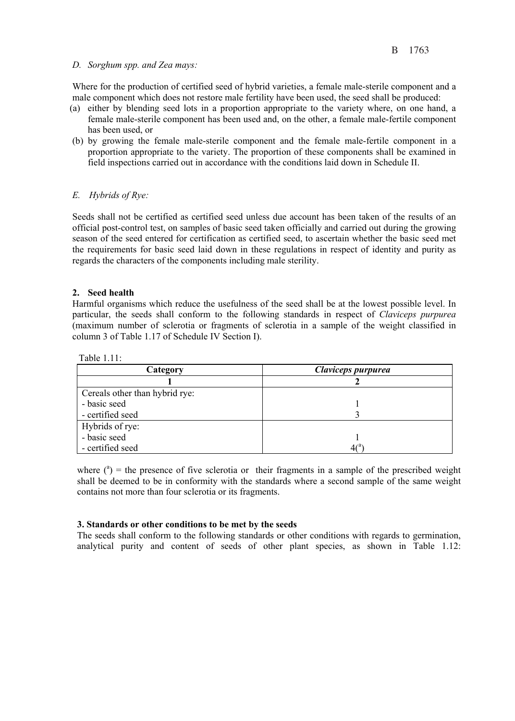#### *D. Sorghum spp. and Zea mays:*

Where for the production of certified seed of hybrid varieties, a female male-sterile component and a male component which does not restore male fertility have been used, the seed shall be produced:

- (a) either by blending seed lots in a proportion appropriate to the variety where, on one hand, a female male-sterile component has been used and, on the other, a female male-fertile component has been used, or
- (b) by growing the female male-sterile component and the female male-fertile component in a proportion appropriate to the variety. The proportion of these components shall be examined in field inspections carried out in accordance with the conditions laid down in Schedule II.

#### *E. Hybrids of Rye:*

Seeds shall not be certified as certified seed unless due account has been taken of the results of an official post-control test, on samples of basic seed taken officially and carried out during the growing season of the seed entered for certification as certified seed, to ascertain whether the basic seed met the requirements for basic seed laid down in these regulations in respect of identity and purity as regards the characters of the components including male sterility.

#### **2. Seed health**

Harmful organisms which reduce the usefulness of the seed shall be at the lowest possible level. In particular, the seeds shall conform to the following standards in respect of *Claviceps purpurea* (maximum number of sclerotia or fragments of sclerotia in a sample of the weight classified in column 3 of Table 1.17 of Schedule IV Section I).

Table  $1.11$ 

| Category                       | Claviceps purpurea |
|--------------------------------|--------------------|
|                                |                    |
| Cereals other than hybrid rye: |                    |
| - basic seed                   |                    |
| - certified seed               |                    |
| Hybrids of rye:                |                    |
| - basic seed                   |                    |
| - certified seed               |                    |

where  $(^{a})$  = the presence of five sclerotia or their fragments in a sample of the prescribed weight shall be deemed to be in conformity with the standards where a second sample of the same weight contains not more than four sclerotia or its fragments.

#### **3. Standards or other conditions to be met by the seeds**

The seeds shall conform to the following standards or other conditions with regards to germination, analytical purity and content of seeds of other plant species, as shown in Table 1.12: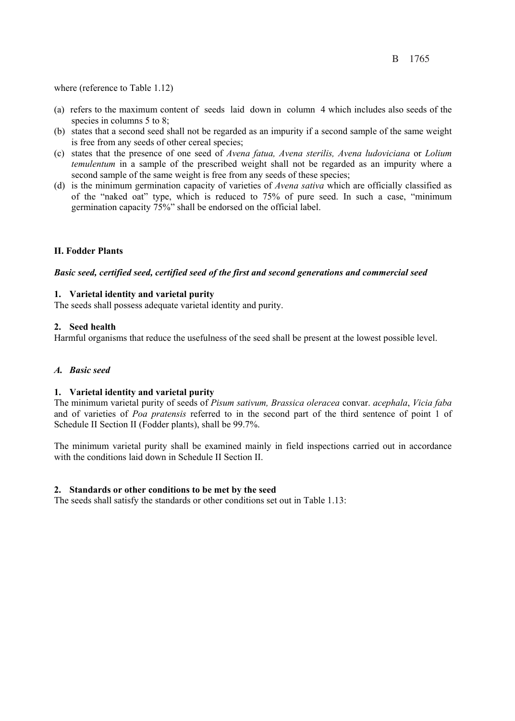where (reference to Table 1.12)

- (a) refers to the maximum content of seeds laid down in column 4 which includes also seeds of the species in columns 5 to 8;
- (b) states that a second seed shall not be regarded as an impurity if a second sample of the same weight is free from any seeds of other cereal species;
- (c) states that the presence of one seed of *Avena fatua, Avena sterilis, Avena ludoviciana* or *Lolium temulentum* in a sample of the prescribed weight shall not be regarded as an impurity where a second sample of the same weight is free from any seeds of these species;
- (d) is the minimum germination capacity of varieties of *Avena sativa* which are officially classified as of the "naked oat" type, which is reduced to 75% of pure seed. In such a case, "minimum germination capacity 75%" shall be endorsed on the official label.

#### **II. Fodder Plants**

#### *Basic seed, certified seed, certified seed of the first and second generations and commercial seed*

#### **1. Varietal identity and varietal purity**

The seeds shall possess adequate varietal identity and purity.

#### **2. Seed health**

Harmful organisms that reduce the usefulness of the seed shall be present at the lowest possible level.

#### *A. Basic seed*

#### **1. Varietal identity and varietal purity**

The minimum varietal purity of seeds of *Pisum sativum, Brassica oleracea* convar. *acephala*, *Vicia faba* and of varieties of *Poa pratensis* referred to in the second part of the third sentence of point 1 of Schedule II Section II (Fodder plants), shall be 99.7%.

The minimum varietal purity shall be examined mainly in field inspections carried out in accordance with the conditions laid down in Schedule II Section II.

#### **2. Standards or other conditions to be met by the seed**

The seeds shall satisfy the standards or other conditions set out in Table 1.13: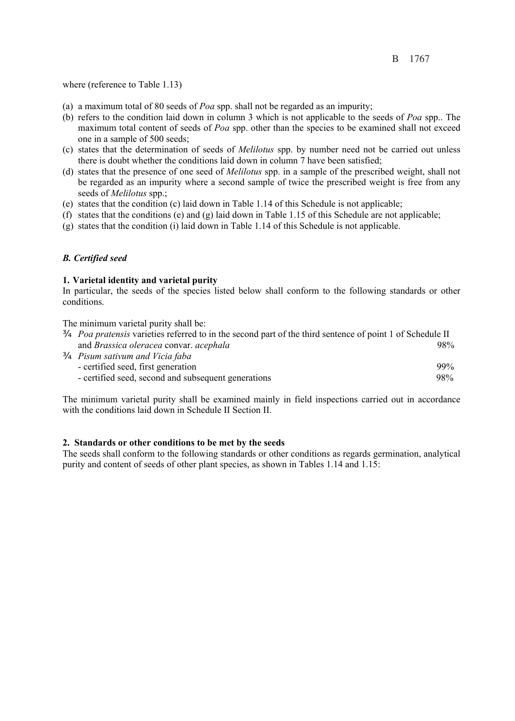where (reference to Table 1.13)

- (a) a maximum total of 80 seeds of *Poa* spp. shall not be regarded as an impurity;
- (b) refers to the condition laid down in column 3 which is not applicable to the seeds of *Poa* spp.. The maximum total content of seeds of *Poa* spp. other than the species to be examined shall not exceed one in a sample of 500 seeds;
- (c) states that the determination of seeds of *Melilotus* spp. by number need not be carried out unless there is doubt whether the conditions laid down in column 7 have been satisfied;
- (d) states that the presence of one seed of *Melilotus* spp. in a sample of the prescribed weight, shall not be regarded as an impurity where a second sample of twice the prescribed weight is free from any seeds of *Melilotus* spp.;
- (e) states that the condition (c) laid down in Table 1.14 of this Schedule is not applicable;
- (f) states that the conditions (e) and (g) laid down in Table 1.15 of this Schedule are not applicable;
- (g) states that the condition (i) laid down in Table 1.14 of this Schedule is not applicable.

## *B. Certified seed*

#### **1. Varietal identity and varietal purity**

In particular, the seeds of the species listed below shall conform to the following standards or other conditions.

The minimum varietal purity shall be:

| <i>O Poa pratensis</i> varieties referred to in the second part of the third sentence of point 1 of Schedule II |     |
|-----------------------------------------------------------------------------------------------------------------|-----|
| and Brassica oleracea convar. acephala                                                                          | 98% |
| <b>Q</b> Pisum sativum and Vicia faba                                                                           |     |
| - certified seed, first generation                                                                              | 99% |
| - certified seed, second and subsequent generations                                                             | 98% |

The minimum varietal purity shall be examined mainly in field inspections carried out in accordance with the conditions laid down in Schedule II Section II.

#### **2. Standards or other conditions to be met by the seeds**

The seeds shall conform to the following standards or other conditions as regards germination, analytical purity and content of seeds of other plant species, as shown in Tables 1.14 and 1.15: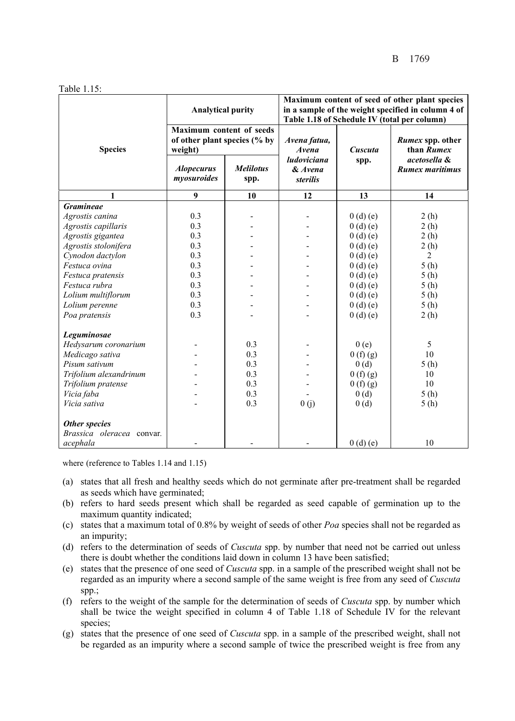Table 1.15:

|                           | <b>Analytical purity</b><br>Maximum content of seeds<br>of other plant species (% by<br>weight) |                          | Maximum content of seed of other plant species<br>in a sample of the weight specified in column 4 of<br>Table 1.18 of Schedule IV (total per column) |         |                                        |
|---------------------------|-------------------------------------------------------------------------------------------------|--------------------------|------------------------------------------------------------------------------------------------------------------------------------------------------|---------|----------------------------------------|
| <b>Species</b>            |                                                                                                 |                          | Avena fatua,<br>Avena                                                                                                                                | Cuscuta | Rumex spp. other<br>than Rumex         |
|                           | <b>Alopecurus</b><br>myosuroides                                                                | <b>Melilotus</b><br>spp. | ludoviciana<br>& Avena<br><i>sterilis</i>                                                                                                            | spp.    | acetosella &<br><b>Rumex maritimus</b> |
| 1                         | 9                                                                                               | 10                       | 12                                                                                                                                                   | 13      | 14                                     |
| <b>Gramineae</b>          |                                                                                                 |                          |                                                                                                                                                      |         |                                        |
| Agrostis canina           | 0.3                                                                                             |                          |                                                                                                                                                      | 0(d)(e) | 2(h)                                   |
| Agrostis capillaris       | 0.3                                                                                             |                          |                                                                                                                                                      | 0(d)(e) | 2(h)                                   |
| Agrostis gigantea         | 0.3                                                                                             |                          |                                                                                                                                                      | 0(d)(e) | 2(h)                                   |
| Agrostis stolonifera      | 0.3                                                                                             |                          |                                                                                                                                                      | 0(d)(e) | 2(h)                                   |
| Cynodon dactylon          | 0.3                                                                                             |                          |                                                                                                                                                      | 0(d)(e) | $\overline{2}$                         |
| Festuca ovina             | 0.3                                                                                             |                          |                                                                                                                                                      | 0(d)(e) | 5(h)                                   |
| Festuca pratensis         | 0.3                                                                                             |                          |                                                                                                                                                      | 0(d)(e) | 5(h)                                   |
| Festuca rubra             | 0.3                                                                                             |                          |                                                                                                                                                      | 0(d)(e) | 5(h)                                   |
| Lolium multiflorum        | 0.3                                                                                             |                          |                                                                                                                                                      | 0(d)(e) | 5(h)                                   |
| Lolium perenne            | 0.3                                                                                             |                          |                                                                                                                                                      | 0(d)(e) | 5(h)                                   |
| Poa pratensis             | 0.3                                                                                             |                          |                                                                                                                                                      | 0(d)(e) | 2(h)                                   |
| Leguminosae               |                                                                                                 |                          |                                                                                                                                                      |         |                                        |
| Hedysarum coronarium      |                                                                                                 | 0.3                      |                                                                                                                                                      | 0(e)    | 5                                      |
| Medicago sativa           |                                                                                                 | 0.3                      |                                                                                                                                                      | 0(f)(g) | 10                                     |
| Pisum sativum             |                                                                                                 | 0.3                      |                                                                                                                                                      | 0(d)    | 5(h)                                   |
| Trifolium alexandrinum    |                                                                                                 | 0.3                      |                                                                                                                                                      | 0(f)(g) | 10                                     |
| Trifolium pratense        |                                                                                                 | 0.3                      |                                                                                                                                                      | 0(f)(g) | 10                                     |
| Vicia faba                |                                                                                                 | 0.3                      |                                                                                                                                                      | 0(d)    | 5(h)                                   |
| Vicia sativa              |                                                                                                 | 0.3                      | 0(j)                                                                                                                                                 | 0(d)    | 5(h)                                   |
| Other species             |                                                                                                 |                          |                                                                                                                                                      |         |                                        |
| Brassica oleracea convar. |                                                                                                 |                          |                                                                                                                                                      |         |                                        |
| acephala                  |                                                                                                 |                          |                                                                                                                                                      | 0(d)(e) | 10                                     |

where (reference to Tables 1.14 and 1.15)

- (a) states that all fresh and healthy seeds which do not germinate after pre-treatment shall be regarded as seeds which have germinated;
- (b) refers to hard seeds present which shall be regarded as seed capable of germination up to the maximum quantity indicated;
- (c) states that a maximum total of 0.8% by weight of seeds of other *Poa* species shall not be regarded as an impurity;
- (d) refers to the determination of seeds of *Cuscuta* spp. by number that need not be carried out unless there is doubt whether the conditions laid down in column 13 have been satisfied;
- (e) states that the presence of one seed of *Cuscuta* spp. in a sample of the prescribed weight shall not be regarded as an impurity where a second sample of the same weight is free from any seed of *Cuscuta* spp.;
- (f) refers to the weight of the sample for the determination of seeds of *Cuscuta* spp. by number which shall be twice the weight specified in column 4 of Table 1.18 of Schedule IV for the relevant species;
- (g) states that the presence of one seed of *Cuscuta* spp. in a sample of the prescribed weight, shall not be regarded as an impurity where a second sample of twice the prescribed weight is free from any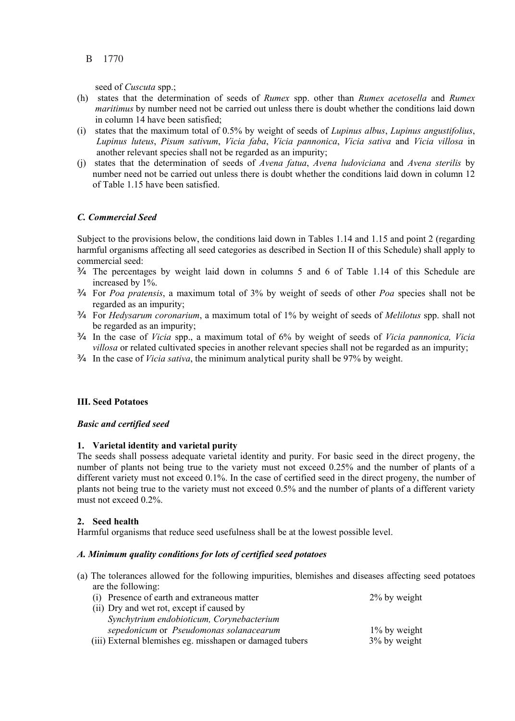seed of *Cuscuta* spp.;

- (h) states that the determination of seeds of *Rumex* spp. other than *Rumex acetosella* and *Rumex maritimus* by number need not be carried out unless there is doubt whether the conditions laid down in column 14 have been satisfied;
- (i) states that the maximum total of 0.5% by weight of seeds of *Lupinus albus*, *Lupinus angustifolius*, *Lupinus luteus*, *Pisum sativum*, *Vicia faba*, *Vicia pannonica*, *Vicia sativa* and *Vicia villosa* in another relevant species shall not be regarded as an impurity;
- (j) states that the determination of seeds of *Avena fatua*, *Avena ludoviciana* and *Avena sterilis* by number need not be carried out unless there is doubt whether the conditions laid down in column 12 of Table 1.15 have been satisfied.

## *C. Commercial Seed*

Subject to the provisions below, the conditions laid down in Tables 1.14 and 1.15 and point 2 (regarding harmful organisms affecting all seed categories as described in Section II of this Schedule) shall apply to commercial seed:

- ¾ The percentages by weight laid down in columns 5 and 6 of Table 1.14 of this Schedule are increased by 1%.
- ¾ For *Poa pratensis*, a maximum total of 3% by weight of seeds of other *Poa* species shall not be regarded as an impurity;
- ¾ For *Hedysarum coronarium*, a maximum total of 1% by weight of seeds of *Melilotus* spp. shall not be regarded as an impurity;
- ¾ In the case of *Vicia* spp., a maximum total of 6% by weight of seeds of *Vicia pannonica, Vicia villosa* or related cultivated species in another relevant species shall not be regarded as an impurity;
- ¾ In the case of *Vicia sativa*, the minimum analytical purity shall be 97% by weight.

#### **III. Seed Potatoes**

#### *Basic and certified seed*

## **1. Varietal identity and varietal purity**

The seeds shall possess adequate varietal identity and purity. For basic seed in the direct progeny, the number of plants not being true to the variety must not exceed 0.25% and the number of plants of a different variety must not exceed 0.1%. In the case of certified seed in the direct progeny, the number of plants not being true to the variety must not exceed 0.5% and the number of plants of a different variety must not exceed 0.2%.

#### **2. Seed health**

Harmful organisms that reduce seed usefulness shall be at the lowest possible level.

#### *A. Minimum quality conditions for lots of certified seed potatoes*

(a) The tolerances allowed for the following impurities, blemishes and diseases affecting seed potatoes are the following:

| (i) Presence of earth and extraneous matter              | 2% by weight    |
|----------------------------------------------------------|-----------------|
| (ii) Dry and wet rot, except if caused by                |                 |
| Synchytrium endobioticum, Corynebacterium                |                 |
| sepedonicum or Pseudomonas solanacearum                  | $1\%$ by weight |
| (iii) External blemishes eg. misshapen or damaged tubers | 3% by weight    |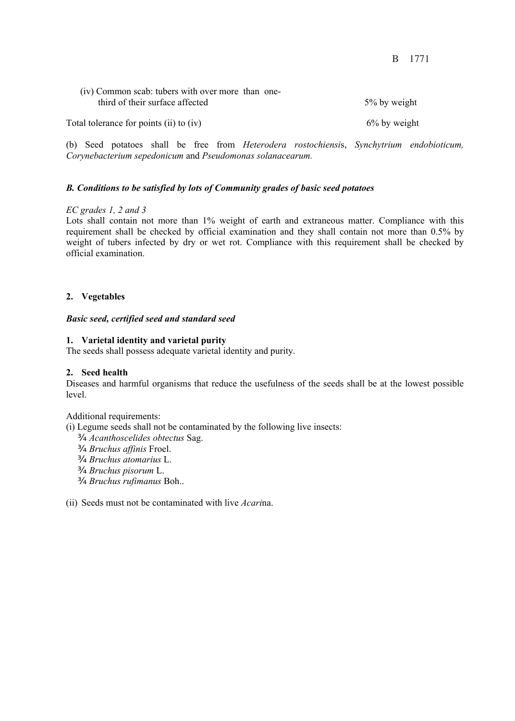| (iv) Common scab: tubers with over more than one-<br>third of their surface affected | 5% by weight    |
|--------------------------------------------------------------------------------------|-----------------|
| Total tolerance for points (ii) to (iv)                                              | $6\%$ by weight |

(b) Seed potatoes shall be free from *Heterodera rostochiensi*s, *Synchytrium endobioticum, Corynebacterium sepedonicum* and *Pseudomonas solanacearum.* 

## *B. Conditions to be satisfied by lots of Community grades of basic seed potatoes*

#### *EC grades 1, 2 and 3*

Lots shall contain not more than 1% weight of earth and extraneous matter. Compliance with this requirement shall be checked by official examination and they shall contain not more than 0.5% by weight of tubers infected by dry or wet rot. Compliance with this requirement shall be checked by official examination.

## **2. Vegetables**

#### *Basic seed, certified seed and standard seed*

#### **1. Varietal identity and varietal purity**

The seeds shall possess adequate varietal identity and purity.

#### **2. Seed health**

Diseases and harmful organisms that reduce the usefulness of the seeds shall be at the lowest possible level.

Additional requirements:

(i) Legume seeds shall not be contaminated by the following live insects:

- ¾ *Acanthoscelides obtectus* Sag.
- ¾ *Bruchus affinis* Froel.
- ¾ *Bruchus atomarius* L.
- ¾ *Bruchus pisorum* L.
- ¾ *Bruchus rufimanus* Boh..

(ii) Seeds must not be contaminated with live *Acari*na.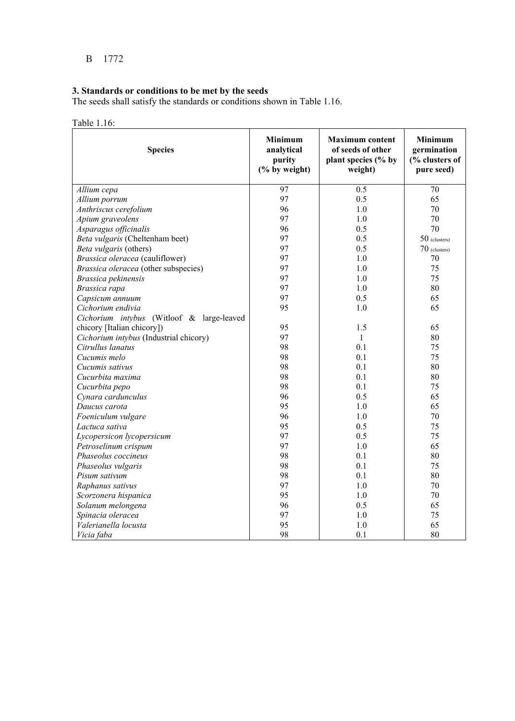#### **3. Standards or conditions to be met by the seeds**

The seeds shall satisfy the standards or conditions shown in Table 1.16.

# Table 1.16:

| <b>Species</b>                            | Minimum<br>analytical<br>purity<br>$(\%$ by weight) | <b>Maximum content</b><br>of seeds of other<br>plant species (% by<br>weight) | <b>Minimum</b><br>germination<br>(% clusters of<br>pure seed) |
|-------------------------------------------|-----------------------------------------------------|-------------------------------------------------------------------------------|---------------------------------------------------------------|
| Allium cepa                               | 97                                                  | $\overline{0.5}$                                                              | 70                                                            |
| Allium porrum                             | 97                                                  | 0.5                                                                           | 65                                                            |
| Anthriscus cerefolium                     | 96                                                  | 1.0                                                                           | 70                                                            |
| Apium graveolens                          | 97                                                  | 1.0                                                                           | 70                                                            |
| Asparagus officinalis                     | 96                                                  | 0.5                                                                           | 70                                                            |
| Beta vulgaris (Cheltenham beet)           | 97                                                  | 0.5                                                                           | $50$ (clusters)                                               |
| Beta vulgaris (others)                    | 97                                                  | 0.5                                                                           | $70$ (clusters)                                               |
| Brassica oleracea (cauliflower)           | 97                                                  | 1.0                                                                           | 70                                                            |
| Brassica oleracea (other subspecies)      | 97                                                  | 1.0                                                                           | 75                                                            |
| Brassica pekinensis                       | 97                                                  | 1.0                                                                           | 75                                                            |
| Brassica rapa                             | 97                                                  | 1.0                                                                           | 80                                                            |
| Capsicum annuum                           | 97                                                  | 0.5                                                                           | 65                                                            |
| Cichorium endivia                         | 95                                                  | 1.0                                                                           | 65                                                            |
| Cichorium intybus (Witloof & large-leaved |                                                     |                                                                               |                                                               |
| chicory [Italian chicory])                | 95                                                  | 1.5                                                                           | 65                                                            |
| Cichorium intybus (Industrial chicory)    | 97                                                  | $\mathbf{1}$                                                                  | 80                                                            |
| Citrullus lanatus                         | 98                                                  | 0.1                                                                           | 75                                                            |
| Cucumis melo                              | 98                                                  | 0.1                                                                           | 75                                                            |
| Cucumis sativus                           | 98                                                  | 0.1                                                                           | 80                                                            |
| Cucurbita maxima                          | 98                                                  | 0.1                                                                           | 80                                                            |
| Cucurbita pepo                            | 98                                                  | 0.1                                                                           | 75                                                            |
| Cynara cardunculus                        | 96                                                  | 0.5                                                                           | 65                                                            |
| Daucus carota                             | 95                                                  | 1.0                                                                           | 65                                                            |
| Foeniculum vulgare                        | 96                                                  | 1.0                                                                           | 70                                                            |
| Lactuca sativa                            | 95                                                  | 0.5                                                                           | 75                                                            |
| Lycopersicon lycopersicum                 | 97                                                  | 0.5                                                                           | 75                                                            |
| Petroselinum crispum                      | 97                                                  | 1.0                                                                           | 65                                                            |
| Phaseolus coccineus                       | 98                                                  | 0.1                                                                           | 80                                                            |
| Phaseolus vulgaris                        | 98                                                  | 0.1                                                                           | 75                                                            |
| Pisum sativum                             | 98                                                  | 0.1                                                                           | 80                                                            |
| Raphanus sativus                          | 97                                                  | 1.0                                                                           | 70                                                            |
| Scorzonera hispanica                      | 95                                                  | 1.0                                                                           | 70                                                            |
| Solanum melongena                         | 96                                                  | 0.5                                                                           | 65                                                            |
| Spinacia oleracea                         | 97                                                  | 1.0                                                                           | 75                                                            |
| Valerianella locusta                      | 95                                                  | 1.0                                                                           | 65                                                            |
| Vicia faba                                | 98                                                  | 0.1                                                                           | 80                                                            |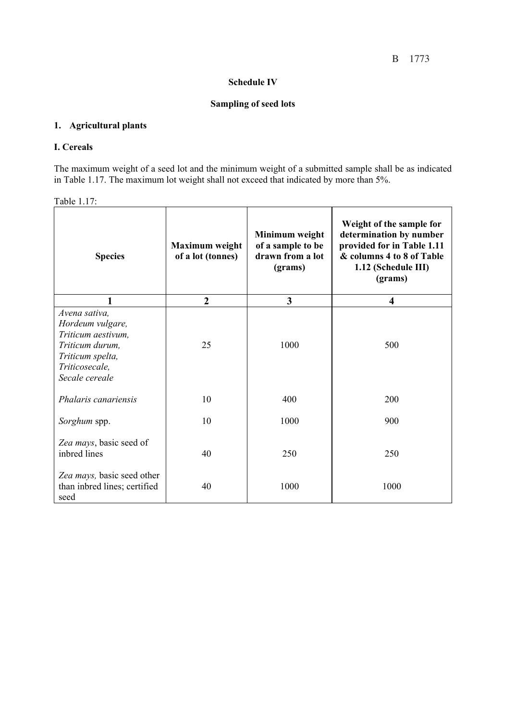#### **Schedule IV**

## **Sampling of seed lots**

# **1. Agricultural plants**

### **I. Cereals**

The maximum weight of a seed lot and the minimum weight of a submitted sample shall be as indicated in Table 1.17. The maximum lot weight shall not exceed that indicated by more than 5%.

| Table 1.17: |  |
|-------------|--|
|             |  |

| <b>Species</b>                                                                                                                     | <b>Maximum</b> weight<br>of a lot (tonnes) | Minimum weight<br>of a sample to be<br>drawn from a lot<br>(grams) | Weight of the sample for<br>determination by number<br>provided for in Table 1.11<br>& columns 4 to 8 of Table<br>1.12 (Schedule III)<br>(grams) |
|------------------------------------------------------------------------------------------------------------------------------------|--------------------------------------------|--------------------------------------------------------------------|--------------------------------------------------------------------------------------------------------------------------------------------------|
| 1                                                                                                                                  | $\overline{2}$                             | 3                                                                  | $\overline{\mathbf{4}}$                                                                                                                          |
| Avena sativa,<br>Hordeum vulgare,<br>Triticum aestivum,<br>Triticum durum,<br>Triticum spelta,<br>Triticosecale,<br>Secale cereale | 25                                         | 1000                                                               | 500                                                                                                                                              |
| <i>Phalaris canariensis</i>                                                                                                        | 10                                         | 400                                                                | 200                                                                                                                                              |
| Sorghum spp.                                                                                                                       | 10                                         | 1000                                                               | 900                                                                                                                                              |
| Zea mays, basic seed of<br>inbred lines                                                                                            | 40                                         | 250                                                                | 250                                                                                                                                              |
| Zea mays, basic seed other<br>than inbred lines; certified<br>seed                                                                 | 40                                         | 1000                                                               | 1000                                                                                                                                             |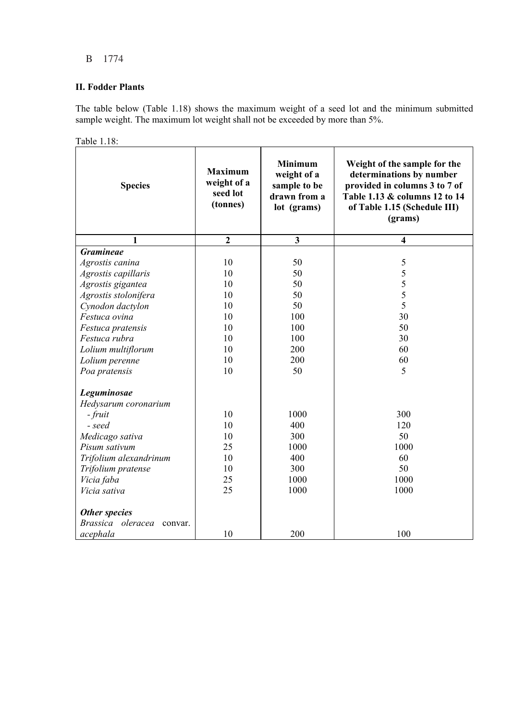## **II. Fodder Plants**

The table below (Table 1.18) shows the maximum weight of a seed lot and the minimum submitted sample weight. The maximum lot weight shall not be exceeded by more than 5%.

| <b>Species</b>               | <b>Maximum</b><br>weight of a<br>seed lot<br>(tonnes) | <b>Minimum</b><br>weight of a<br>sample to be<br>drawn from a<br>lot (grams) | Weight of the sample for the<br>determinations by number<br>provided in columns 3 to 7 of<br>Table 1.13 & columns 12 to 14<br>of Table 1.15 (Schedule III)<br>(grams) |
|------------------------------|-------------------------------------------------------|------------------------------------------------------------------------------|-----------------------------------------------------------------------------------------------------------------------------------------------------------------------|
| 1                            | $\overline{2}$                                        | $\overline{\mathbf{3}}$                                                      | 4                                                                                                                                                                     |
| <b>Gramineae</b>             |                                                       |                                                                              |                                                                                                                                                                       |
| Agrostis canina              | 10                                                    | 50                                                                           | $\mathfrak s$                                                                                                                                                         |
| Agrostis capillaris          | 10                                                    | 50                                                                           | 5                                                                                                                                                                     |
| Agrostis gigantea            | 10                                                    | 50                                                                           | 5                                                                                                                                                                     |
| Agrostis stolonifera         | 10                                                    | 50                                                                           | 5                                                                                                                                                                     |
| Cynodon dactylon             | 10                                                    | 50                                                                           | 5                                                                                                                                                                     |
| Festuca ovina                | 10                                                    | 100                                                                          | 30                                                                                                                                                                    |
| Festuca pratensis            | 10                                                    | 100                                                                          | 50                                                                                                                                                                    |
| Festuca rubra                | 10                                                    | 100                                                                          | 30                                                                                                                                                                    |
| Lolium multiflorum           | 10                                                    | 200                                                                          | 60                                                                                                                                                                    |
| Lolium perenne               | 10                                                    | 200                                                                          | 60                                                                                                                                                                    |
| Poa pratensis                | 10                                                    | 50                                                                           | 5                                                                                                                                                                     |
| Leguminosae                  |                                                       |                                                                              |                                                                                                                                                                       |
| Hedysarum coronarium         |                                                       |                                                                              |                                                                                                                                                                       |
| - fruit                      | 10                                                    | 1000                                                                         | 300                                                                                                                                                                   |
| - seed                       | 10                                                    | 400                                                                          | 120                                                                                                                                                                   |
| Medicago sativa              | 10                                                    | 300                                                                          | 50                                                                                                                                                                    |
| Pisum sativum                | 25                                                    | 1000                                                                         | 1000                                                                                                                                                                  |
| Trifolium alexandrinum       | 10                                                    | 400                                                                          | 60                                                                                                                                                                    |
| Trifolium pratense           | 10                                                    | 300                                                                          | 50                                                                                                                                                                    |
| Vicia faba                   | 25                                                    | 1000                                                                         | 1000                                                                                                                                                                  |
| Vicia sativa                 | 25                                                    | 1000                                                                         | 1000                                                                                                                                                                  |
| Other species                |                                                       |                                                                              |                                                                                                                                                                       |
| Brassica oleracea<br>convar. |                                                       |                                                                              |                                                                                                                                                                       |
| acephala                     | 10                                                    | 200                                                                          | 100                                                                                                                                                                   |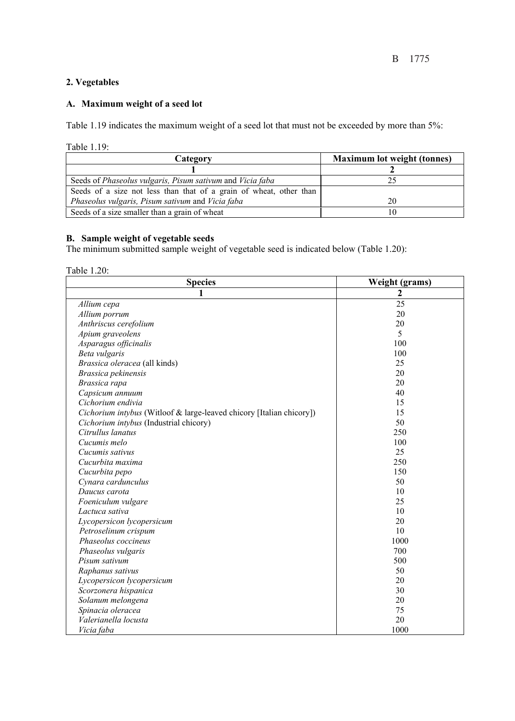# **2. Vegetables**

## **A. Maximum weight of a seed lot**

Table 1.19 indicates the maximum weight of a seed lot that must not be exceeded by more than 5%:

Table 1.19:

| Category                                                           | <b>Maximum lot weight (tonnes)</b> |
|--------------------------------------------------------------------|------------------------------------|
|                                                                    |                                    |
| Seeds of Phaseolus vulgaris, Pisum sativum and Vicia faba          |                                    |
| Seeds of a size not less than that of a grain of wheat, other than |                                    |
| Phaseolus vulgaris, Pisum sativum and Vicia faba                   | 20                                 |
| Seeds of a size smaller than a grain of wheat                      |                                    |

## **B. Sample weight of vegetable seeds**

The minimum submitted sample weight of vegetable seed is indicated below (Table 1.20):

Table 1.20:

| <b>Species</b>                                                       | Weight (grams)  |
|----------------------------------------------------------------------|-----------------|
| 1                                                                    | 2               |
| Allium cepa                                                          | $\overline{25}$ |
| Allium porrum                                                        | 20              |
| Anthriscus cerefolium                                                | 20              |
| Apium graveolens                                                     | 5               |
| Asparagus officinalis                                                | 100             |
| Beta vulgaris                                                        | 100             |
| Brassica oleracea (all kinds)                                        | 25              |
| Brassica pekinensis                                                  | 20              |
| Brassica rapa                                                        | 20              |
| Capsicum annuum                                                      | 40              |
| Cichorium endivia                                                    | 15              |
| Cichorium intybus (Witloof & large-leaved chicory [Italian chicory]) | 15              |
| Cichorium intybus (Industrial chicory)                               | 50              |
| Citrullus lanatus                                                    | 250             |
| Cucumis melo                                                         | 100             |
| Cucumis sativus                                                      | 25              |
| Cucurbita maxima                                                     | 250             |
| Cucurbita pepo                                                       | 150             |
| Cynara cardunculus                                                   | 50              |
| Daucus carota                                                        | 10              |
| Foeniculum vulgare                                                   | 25              |
| Lactuca sativa                                                       | 10              |
| Lycopersicon lycopersicum                                            | 20              |
| Petroselinum crispum                                                 | 10              |
| Phaseolus coccineus                                                  | 1000            |
| Phaseolus vulgaris                                                   | 700             |
| Pisum sativum                                                        | 500             |
| Raphanus sativus                                                     | 50              |
| Lycopersicon lycopersicum                                            | 20              |
| Scorzonera hispanica                                                 | 30              |
| Solanum melongena                                                    | 20              |
| Spinacia oleracea                                                    | 75              |
| Valerianella locusta                                                 | 20              |
| Vicia faba                                                           | 1000            |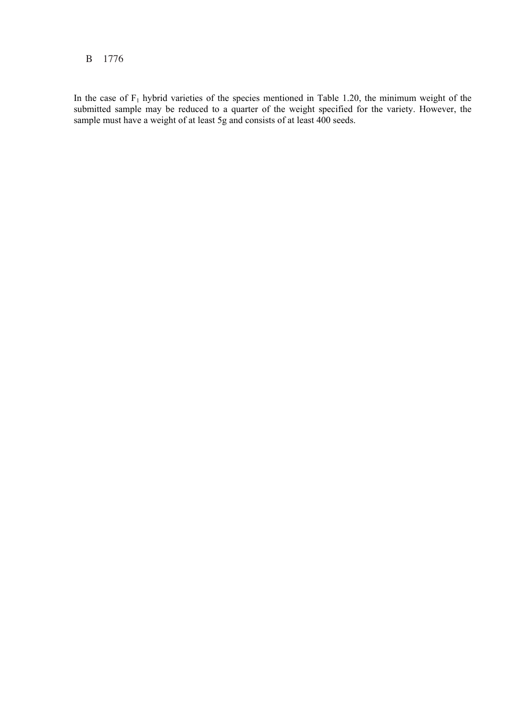In the case of  $F_1$  hybrid varieties of the species mentioned in Table 1.20, the minimum weight of the submitted sample may be reduced to a quarter of the weight specified for the variety. However, the sample must have a weight of at least 5g and consists of at least 400 seeds.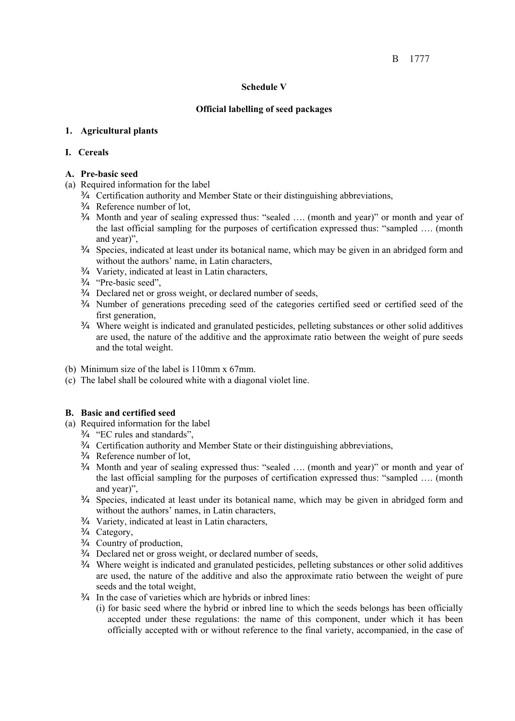#### **Schedule V**

## **Official labelling of seed packages**

## **1. Agricultural plants**

## **I. Cereals**

## **A. Pre-basic seed**

- (a) Required information for the label
	- ¾ Certification authority and Member State or their distinguishing abbreviations,
	- ¾ Reference number of lot,
	- ¾ Month and year of sealing expressed thus: "sealed …. (month and year)" or month and year of the last official sampling for the purposes of certification expressed thus: "sampled …. (month and year)",
	- ¾ Species, indicated at least under its botanical name, which may be given in an abridged form and without the authors' name, in Latin characters,
	- ¾ Variety, indicated at least in Latin characters,
	- ¾ "Pre-basic seed",
	- ¾ Declared net or gross weight, or declared number of seeds,
	- ¾ Number of generations preceding seed of the categories certified seed or certified seed of the first generation,
	- ¾ Where weight is indicated and granulated pesticides, pelleting substances or other solid additives are used, the nature of the additive and the approximate ratio between the weight of pure seeds and the total weight.
- (b) Minimum size of the label is 110mm x 67mm.
- (c) The label shall be coloured white with a diagonal violet line.

## **B. Basic and certified seed**

- (a) Required information for the label
	- ¾ "EC rules and standards",
	- ¾ Certification authority and Member State or their distinguishing abbreviations,
	- ¾ Reference number of lot,
	- ¾ Month and year of sealing expressed thus: "sealed …. (month and year)" or month and year of the last official sampling for the purposes of certification expressed thus: "sampled …. (month and year)",
	- ¾ Species, indicated at least under its botanical name, which may be given in abridged form and without the authors' names, in Latin characters,
	- ¾ Variety, indicated at least in Latin characters,
	- ¾ Category,
	- ¾ Country of production,
	- ¾ Declared net or gross weight, or declared number of seeds,
	- ¾ Where weight is indicated and granulated pesticides, pelleting substances or other solid additives are used, the nature of the additive and also the approximate ratio between the weight of pure seeds and the total weight,
	- ¾ In the case of varieties which are hybrids or inbred lines:
		- (i) for basic seed where the hybrid or inbred line to which the seeds belongs has been officially accepted under these regulations: the name of this component, under which it has been officially accepted with or without reference to the final variety, accompanied, in the case of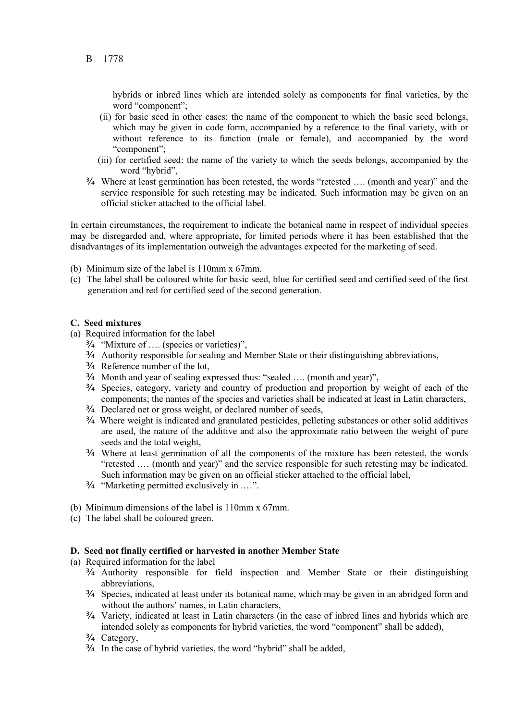hybrids or inbred lines which are intended solely as components for final varieties, by the word "component";

- (ii) for basic seed in other cases: the name of the component to which the basic seed belongs, which may be given in code form, accompanied by a reference to the final variety, with or without reference to its function (male or female), and accompanied by the word "component";
- (iii) for certified seed: the name of the variety to which the seeds belongs, accompanied by the word "hybrid",
- ¾ Where at least germination has been retested, the words "retested …. (month and year)" and the service responsible for such retesting may be indicated. Such information may be given on an official sticker attached to the official label.

In certain circumstances, the requirement to indicate the botanical name in respect of individual species may be disregarded and, where appropriate, for limited periods where it has been established that the disadvantages of its implementation outweigh the advantages expected for the marketing of seed.

- (b) Minimum size of the label is 110mm x 67mm.
- (c) The label shall be coloured white for basic seed, blue for certified seed and certified seed of the first generation and red for certified seed of the second generation.

#### **C. Seed mixtures**

- (a) Required information for the label
	- ¾ "Mixture of …. (species or varieties)",
	- ¾ Authority responsible for sealing and Member State or their distinguishing abbreviations,
	- ¾ Reference number of the lot,
	- ¾ Month and year of sealing expressed thus: "sealed …. (month and year)",
	- ¾ Species, category, variety and country of production and proportion by weight of each of the components; the names of the species and varieties shall be indicated at least in Latin characters,
	- ¾ Declared net or gross weight, or declared number of seeds,
	- ¾ Where weight is indicated and granulated pesticides, pelleting substances or other solid additives are used, the nature of the additive and also the approximate ratio between the weight of pure seeds and the total weight,
	- ¾ Where at least germination of all the components of the mixture has been retested, the words "retested .… (month and year)" and the service responsible for such retesting may be indicated. Such information may be given on an official sticker attached to the official label,
	- ¾ "Marketing permitted exclusively in .…".
- (b) Minimum dimensions of the label is 110mm x 67mm.
- (c) The label shall be coloured green.

#### **D. Seed not finally certified or harvested in another Member State**

- (a) Required information for the label
	- ¾ Authority responsible for field inspection and Member State or their distinguishing abbreviations,
	- ¾ Species, indicated at least under its botanical name, which may be given in an abridged form and without the authors' names, in Latin characters,
	- ¾ Variety, indicated at least in Latin characters (in the case of inbred lines and hybrids which are intended solely as components for hybrid varieties, the word "component" shall be added),
	- ¾ Category,
	- $\emptyset$  In the case of hybrid varieties, the word "hybrid" shall be added,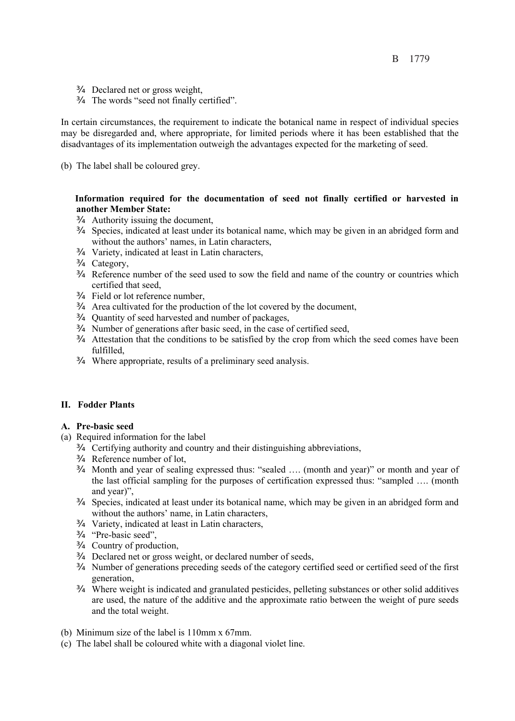- ¾ Declared net or gross weight,
- ¾ The words "seed not finally certified".

In certain circumstances, the requirement to indicate the botanical name in respect of individual species may be disregarded and, where appropriate, for limited periods where it has been established that the disadvantages of its implementation outweigh the advantages expected for the marketing of seed.

(b) The label shall be coloured grey.

### **Information required for the documentation of seed not finally certified or harvested in another Member State:**

- $\emptyset$  Authority issuing the document,
- ¾ Species, indicated at least under its botanical name, which may be given in an abridged form and without the authors' names, in Latin characters,
- ¾ Variety, indicated at least in Latin characters,
- ¾ Category,
- ¾ Reference number of the seed used to sow the field and name of the country or countries which certified that seed,
- ¾ Field or lot reference number,
- $\emptyset$  Area cultivated for the production of the lot covered by the document,
- ¾ Quantity of seed harvested and number of packages,
- ¾ Number of generations after basic seed, in the case of certified seed,
- ¾ Attestation that the conditions to be satisfied by the crop from which the seed comes have been fulfilled,
- ¾ Where appropriate, results of a preliminary seed analysis.

#### **II. Fodder Plants**

#### **A. Pre-basic seed**

- (a) Required information for the label
	- ¾ Certifying authority and country and their distinguishing abbreviations,
	- ¾ Reference number of lot,
	- ¾ Month and year of sealing expressed thus: "sealed …. (month and year)" or month and year of the last official sampling for the purposes of certification expressed thus: "sampled …. (month and year)",
	- ¾ Species, indicated at least under its botanical name, which may be given in an abridged form and without the authors' name, in Latin characters,
	- ¾ Variety, indicated at least in Latin characters,
	- ¾ "Pre-basic seed",
	- ¾ Country of production,
	- ¾ Declared net or gross weight, or declared number of seeds,
	- ¾ Number of generations preceding seeds of the category certified seed or certified seed of the first generation,
	- ¾ Where weight is indicated and granulated pesticides, pelleting substances or other solid additives are used, the nature of the additive and the approximate ratio between the weight of pure seeds and the total weight.
- (b) Minimum size of the label is 110mm x 67mm.
- (c) The label shall be coloured white with a diagonal violet line.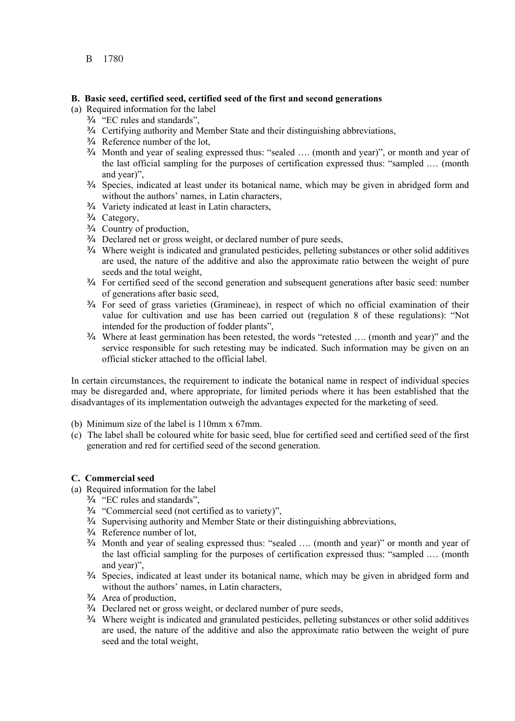#### **B.****Basic seed, certified seed, certified seed of the first and second generations**

- (a) Required information for the label
	- ¾ "EC rules and standards",
	- ¾ Certifying authority and Member State and their distinguishing abbreviations,
	- ¾ Reference number of the lot,
	- ¾ Month and year of sealing expressed thus: "sealed …. (month and year)", or month and year of the last official sampling for the purposes of certification expressed thus: "sampled .… (month and year)",
	- ¾ Species, indicated at least under its botanical name, which may be given in abridged form and without the authors' names, in Latin characters,
	- ¾ Variety indicated at least in Latin characters,
	- ¾ Category,
	- ¾ Country of production,
	- ¾ Declared net or gross weight, or declared number of pure seeds,
	- ¾ Where weight is indicated and granulated pesticides, pelleting substances or other solid additives are used, the nature of the additive and also the approximate ratio between the weight of pure seeds and the total weight,
	- ¾ For certified seed of the second generation and subsequent generations after basic seed: number of generations after basic seed,
	- ¾ For seed of grass varieties (Gramineae), in respect of which no official examination of their value for cultivation and use has been carried out (regulation 8 of these regulations): "Not intended for the production of fodder plants",
	- ¾ Where at least germination has been retested, the words "retested …. (month and year)" and the service responsible for such retesting may be indicated. Such information may be given on an official sticker attached to the official label.

In certain circumstances, the requirement to indicate the botanical name in respect of individual species may be disregarded and, where appropriate, for limited periods where it has been established that the disadvantages of its implementation outweigh the advantages expected for the marketing of seed.

- (b) Minimum size of the label is 110mm x 67mm.
- (c) The label shall be coloured white for basic seed, blue for certified seed and certified seed of the first generation and red for certified seed of the second generation.

#### **C. Commercial seed**

- (a) Required information for the label
	- ¾ "EC rules and standards",
	- ¾ "Commercial seed (not certified as to variety)",
	- $\varnothing$  Supervising authority and Member State or their distinguishing abbreviations,
	- ¾ Reference number of lot,
	- ¾ Month and year of sealing expressed thus: "sealed …. (month and year)" or month and year of the last official sampling for the purposes of certification expressed thus: "sampled .… (month and year)",
	- ¾ Species, indicated at least under its botanical name, which may be given in abridged form and without the authors' names, in Latin characters,
	- ¾ Area of production,
	- ¾ Declared net or gross weight, or declared number of pure seeds,
	- ¾ Where weight is indicated and granulated pesticides, pelleting substances or other solid additives are used, the nature of the additive and also the approximate ratio between the weight of pure seed and the total weight,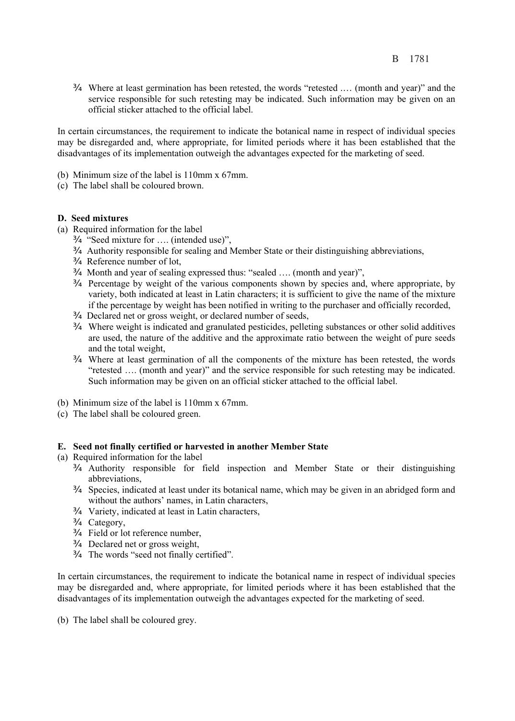¾ Where at least germination has been retested, the words "retested .… (month and year)" and the service responsible for such retesting may be indicated. Such information may be given on an official sticker attached to the official label.

In certain circumstances, the requirement to indicate the botanical name in respect of individual species may be disregarded and, where appropriate, for limited periods where it has been established that the disadvantages of its implementation outweigh the advantages expected for the marketing of seed.

- (b) Minimum size of the label is 110mm x 67mm.
- (c) The label shall be coloured brown.

#### **D. Seed mixtures**

- (a) Required information for the label
	- ¾ "Seed mixture for …. (intended use)",
	- ¾ Authority responsible for sealing and Member State or their distinguishing abbreviations,
	- ¾ Reference number of lot,
	- ¾ Month and year of sealing expressed thus: "sealed …. (month and year)",
	- ¾ Percentage by weight of the various components shown by species and, where appropriate, by variety, both indicated at least in Latin characters; it is sufficient to give the name of the mixture if the percentage by weight has been notified in writing to the purchaser and officially recorded,
	- ¾ Declared net or gross weight, or declared number of seeds,
	- ¾ Where weight is indicated and granulated pesticides, pelleting substances or other solid additives are used, the nature of the additive and the approximate ratio between the weight of pure seeds and the total weight,
	- ¾ Where at least germination of all the components of the mixture has been retested, the words "retested …. (month and year)" and the service responsible for such retesting may be indicated. Such information may be given on an official sticker attached to the official label.
- (b) Minimum size of the label is 110mm x 67mm.
- (c) The label shall be coloured green.

#### **E. Seed not finally certified or harvested in another Member State**

- (a) Required information for the label
	- ¾ Authority responsible for field inspection and Member State or their distinguishing abbreviations,
	- ¾ Species, indicated at least under its botanical name, which may be given in an abridged form and without the authors' names, in Latin characters,
	- ¾ Variety, indicated at least in Latin characters,
	- ¾ Category,
	- ¾ Field or lot reference number,
	- ¾ Declared net or gross weight,
	- ¾ The words "seed not finally certified".

In certain circumstances, the requirement to indicate the botanical name in respect of individual species may be disregarded and, where appropriate, for limited periods where it has been established that the disadvantages of its implementation outweigh the advantages expected for the marketing of seed.

(b) The label shall be coloured grey.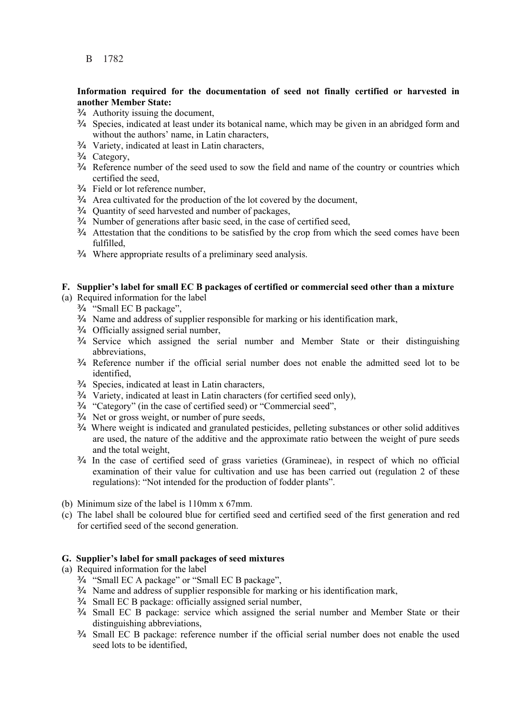### **Information required for the documentation of seed not finally certified or harvested in another Member State:**

- $\varnothing$  Authority issuing the document,
- ¾ Species, indicated at least under its botanical name, which may be given in an abridged form and without the authors' name, in Latin characters,
- ¾ Variety, indicated at least in Latin characters,
- ¾ Category,
- ¾ Reference number of the seed used to sow the field and name of the country or countries which certified the seed,
- ¾ Field or lot reference number,
- ¾ Area cultivated for the production of the lot covered by the document,
- ¾ Quantity of seed harvested and number of packages,
- ¾ Number of generations after basic seed, in the case of certified seed,
- ¾ Attestation that the conditions to be satisfied by the crop from which the seed comes have been fulfilled,
- ¾ Where appropriate results of a preliminary seed analysis.

## **F. Supplier's label for small EC B packages of certified or commercial seed other than a mixture**

- (a) Required information for the label
	- ¾ "Small EC B package",
	- ¾ Name and address of supplier responsible for marking or his identification mark,
	- ¾ Officially assigned serial number,
	- ¾ Service which assigned the serial number and Member State or their distinguishing abbreviations,
	- ¾ Reference number if the official serial number does not enable the admitted seed lot to be identified,
	- ¾ Species, indicated at least in Latin characters,
	- ¾ Variety, indicated at least in Latin characters (for certified seed only),
	- ¾ "Category" (in the case of certified seed) or "Commercial seed",
	- ¾ Net or gross weight, or number of pure seeds,
	- ¾ Where weight is indicated and granulated pesticides, pelleting substances or other solid additives are used, the nature of the additive and the approximate ratio between the weight of pure seeds and the total weight,
	- ¾ In the case of certified seed of grass varieties (Gramineae), in respect of which no official examination of their value for cultivation and use has been carried out (regulation 2 of these regulations): "Not intended for the production of fodder plants".
- (b) Minimum size of the label is 110mm x 67mm.
- (c) The label shall be coloured blue for certified seed and certified seed of the first generation and red for certified seed of the second generation.

#### **G. Supplier's label for small packages of seed mixtures**

(a) Required information for the label

- ¾ "Small EC A package" or "Small EC B package",
- ¾ Name and address of supplier responsible for marking or his identification mark,
- ¾ Small EC B package: officially assigned serial number,
- ¾ Small EC B package: service which assigned the serial number and Member State or their distinguishing abbreviations,
- ¾ Small EC B package: reference number if the official serial number does not enable the used seed lots to be identified,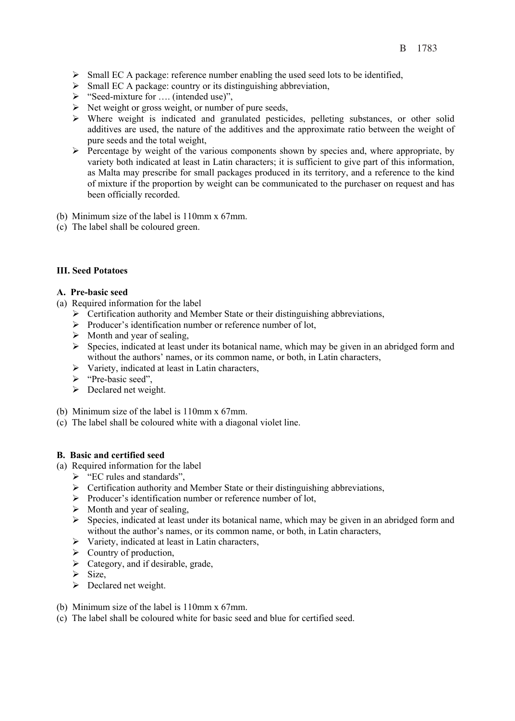- $\triangleright$  Small EC A package: reference number enabling the used seed lots to be identified,
- ¾ Small EC A package: country or its distinguishing abbreviation,
- ¾ "Seed-mixture for …. (intended use)",
- $\triangleright$  Net weight or gross weight, or number of pure seeds,
- ¾ Where weight is indicated and granulated pesticides, pelleting substances, or other solid additives are used, the nature of the additives and the approximate ratio between the weight of pure seeds and the total weight,
- $\triangleright$  Percentage by weight of the various components shown by species and, where appropriate, by variety both indicated at least in Latin characters; it is sufficient to give part of this information, as Malta may prescribe for small packages produced in its territory, and a reference to the kind of mixture if the proportion by weight can be communicated to the purchaser on request and has been officially recorded.
- (b) Minimum size of the label is 110mm x 67mm.
- (c) The label shall be coloured green.

#### **III. Seed Potatoes**

#### **A. Pre-basic seed**

- (a) Required information for the label
	- $\triangleright$  Certification authority and Member State or their distinguishing abbreviations,
	- ¾ Producer's identification number or reference number of lot,
	- $\triangleright$  Month and year of sealing,
	- ¾ Species, indicated at least under its botanical name, which may be given in an abridged form and without the authors' names, or its common name, or both, in Latin characters,
	- $\triangleright$  Variety, indicated at least in Latin characters,
	- ¾ "Pre-basic seed",
	- $\triangleright$  Declared net weight.
- (b) Minimum size of the label is 110mm x 67mm.
- (c) The label shall be coloured white with a diagonal violet line.

#### **B. Basic and certified seed**

- (a) Required information for the label
	- ¾ "EC rules and standards",
	- $\triangleright$  Certification authority and Member State or their distinguishing abbreviations,
	- ¾ Producer's identification number or reference number of lot,
	- $\triangleright$  Month and year of sealing,
	- $\triangleright$  Species, indicated at least under its botanical name, which may be given in an abridged form and without the author's names, or its common name, or both, in Latin characters,
	- $\triangleright$  Variety, indicated at least in Latin characters,
	- $\triangleright$  Country of production,
	- $\triangleright$  Category, and if desirable, grade,
	- $\triangleright$  Size,
	- $\triangleright$  Declared net weight.
- (b) Minimum size of the label is 110mm x 67mm.
- (c) The label shall be coloured white for basic seed and blue for certified seed.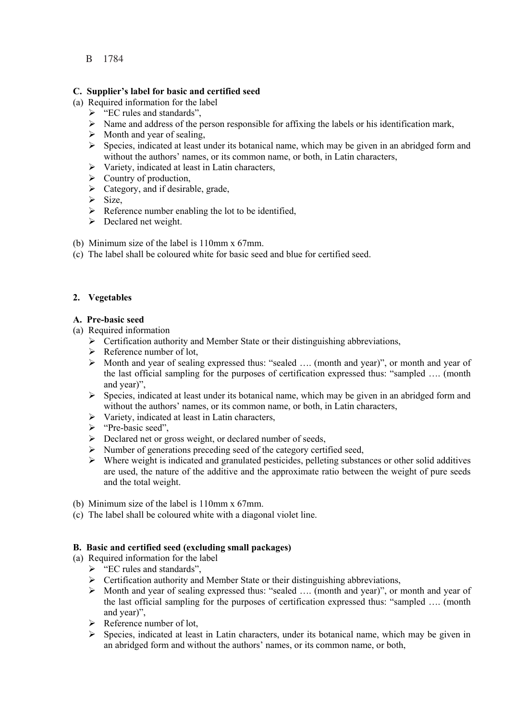## **C. Supplier's label for basic and certified seed**

- (a) Required information for the label
	- $\triangleright$  "EC rules and standards",
		- $\triangleright$  Name and address of the person responsible for affixing the labels or his identification mark,
		- $\triangleright$  Month and year of sealing,
		- $\triangleright$  Species, indicated at least under its botanical name, which may be given in an abridged form and without the authors' names, or its common name, or both, in Latin characters,
		- $\triangleright$  Variety, indicated at least in Latin characters,
		- $\triangleright$  Country of production,
		- $\triangleright$  Category, and if desirable, grade,
		- $\triangleright$  Size,
		- $\triangleright$  Reference number enabling the lot to be identified,
		- $\triangleright$  Declared net weight.
- (b) Minimum size of the label is 110mm x 67mm.
- (c) The label shall be coloured white for basic seed and blue for certified seed.

## **2. Vegetables**

#### **A. Pre-basic seed**

- (a) Required information
	- $\triangleright$  Certification authority and Member State or their distinguishing abbreviations,
	- $\triangleright$  Reference number of lot,
	- $\triangleright$  Month and year of sealing expressed thus: "sealed .... (month and year)", or month and year of the last official sampling for the purposes of certification expressed thus: "sampled …. (month and year)",
	- $\triangleright$  Species, indicated at least under its botanical name, which may be given in an abridged form and without the authors' names, or its common name, or both, in Latin characters,
	- $\triangleright$  Variety, indicated at least in Latin characters,
	- ¾ "Pre-basic seed",
	- $\triangleright$  Declared net or gross weight, or declared number of seeds,
	- $\triangleright$  Number of generations preceding seed of the category certified seed,
	- $\triangleright$  Where weight is indicated and granulated pesticides, pelleting substances or other solid additives are used, the nature of the additive and the approximate ratio between the weight of pure seeds and the total weight.
- (b) Minimum size of the label is 110mm x 67mm.
- (c) The label shall be coloured white with a diagonal violet line.

## **B. Basic and certified seed (excluding small packages)**

- (a) Required information for the label
	- $\triangleright$  "EC rules and standards",
	- $\triangleright$  Certification authority and Member State or their distinguishing abbreviations,
	- ¾ Month and year of sealing expressed thus: "sealed …. (month and year)", or month and year of the last official sampling for the purposes of certification expressed thus: "sampled …. (month and year)",
	- $\triangleright$  Reference number of lot,
	- ¾ Species, indicated at least in Latin characters, under its botanical name, which may be given in an abridged form and without the authors' names, or its common name, or both,